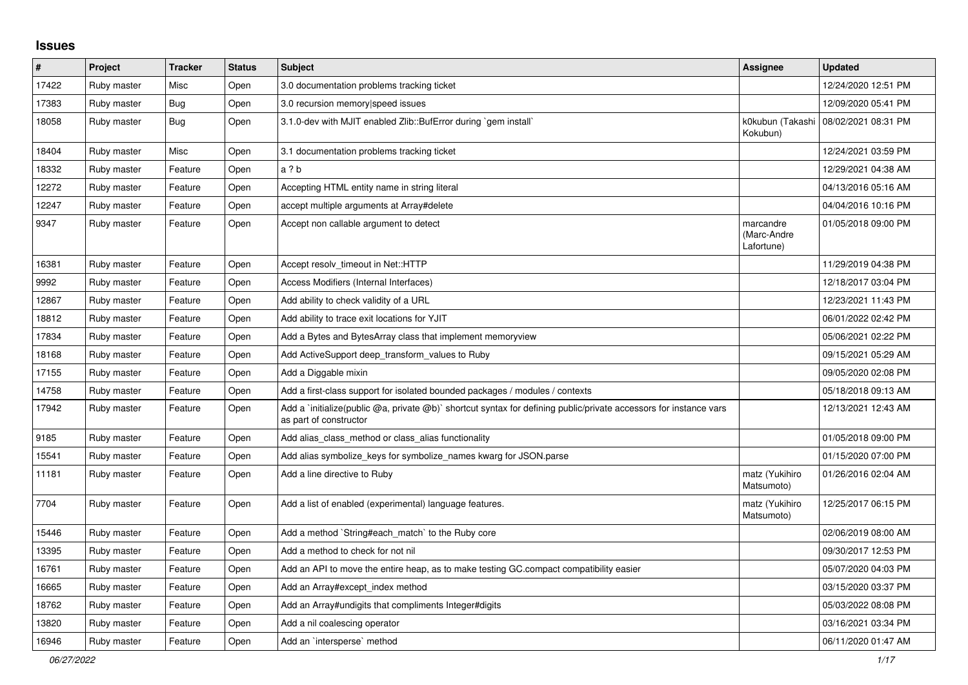## **Issues**

| #     | Project     | <b>Tracker</b> | <b>Status</b> | <b>Subject</b>                                                                                                                              | Assignee                               | <b>Updated</b>      |
|-------|-------------|----------------|---------------|---------------------------------------------------------------------------------------------------------------------------------------------|----------------------------------------|---------------------|
| 17422 | Ruby master | Misc           | Open          | 3.0 documentation problems tracking ticket                                                                                                  |                                        | 12/24/2020 12:51 PM |
| 17383 | Ruby master | <b>Bug</b>     | Open          | 3.0 recursion memory speed issues                                                                                                           |                                        | 12/09/2020 05:41 PM |
| 18058 | Ruby master | <b>Bug</b>     | Open          | 3.1.0-dev with MJIT enabled Zlib::BufError during `gem install`                                                                             | k0kubun (Takashi<br>Kokubun)           | 08/02/2021 08:31 PM |
| 18404 | Ruby master | Misc           | Open          | 3.1 documentation problems tracking ticket                                                                                                  |                                        | 12/24/2021 03:59 PM |
| 18332 | Ruby master | Feature        | Open          | a ? b                                                                                                                                       |                                        | 12/29/2021 04:38 AM |
| 12272 | Ruby master | Feature        | Open          | Accepting HTML entity name in string literal                                                                                                |                                        | 04/13/2016 05:16 AM |
| 12247 | Ruby master | Feature        | Open          | accept multiple arguments at Array#delete                                                                                                   |                                        | 04/04/2016 10:16 PM |
| 9347  | Ruby master | Feature        | Open          | Accept non callable argument to detect                                                                                                      | marcandre<br>(Marc-Andre<br>Lafortune) | 01/05/2018 09:00 PM |
| 16381 | Ruby master | Feature        | Open          | Accept resolv timeout in Net::HTTP                                                                                                          |                                        | 11/29/2019 04:38 PM |
| 9992  | Ruby master | Feature        | Open          | Access Modifiers (Internal Interfaces)                                                                                                      |                                        | 12/18/2017 03:04 PM |
| 12867 | Ruby master | Feature        | Open          | Add ability to check validity of a URL                                                                                                      |                                        | 12/23/2021 11:43 PM |
| 18812 | Ruby master | Feature        | Open          | Add ability to trace exit locations for YJIT                                                                                                |                                        | 06/01/2022 02:42 PM |
| 17834 | Ruby master | Feature        | Open          | Add a Bytes and BytesArray class that implement memoryview                                                                                  |                                        | 05/06/2021 02:22 PM |
| 18168 | Ruby master | Feature        | Open          | Add ActiveSupport deep_transform_values to Ruby                                                                                             |                                        | 09/15/2021 05:29 AM |
| 17155 | Ruby master | Feature        | Open          | Add a Diggable mixin                                                                                                                        |                                        | 09/05/2020 02:08 PM |
| 14758 | Ruby master | Feature        | Open          | Add a first-class support for isolated bounded packages / modules / contexts                                                                |                                        | 05/18/2018 09:13 AM |
| 17942 | Ruby master | Feature        | Open          | Add a 'initialize(public @a, private @b)' shortcut syntax for defining public/private accessors for instance vars<br>as part of constructor |                                        | 12/13/2021 12:43 AM |
| 9185  | Ruby master | Feature        | Open          | Add alias class method or class alias functionality                                                                                         |                                        | 01/05/2018 09:00 PM |
| 15541 | Ruby master | Feature        | Open          | Add alias symbolize keys for symbolize names kwarg for JSON.parse                                                                           |                                        | 01/15/2020 07:00 PM |
| 11181 | Ruby master | Feature        | Open          | Add a line directive to Ruby                                                                                                                | matz (Yukihiro<br>Matsumoto)           | 01/26/2016 02:04 AM |
| 7704  | Ruby master | Feature        | Open          | Add a list of enabled (experimental) language features.                                                                                     | matz (Yukihiro<br>Matsumoto)           | 12/25/2017 06:15 PM |
| 15446 | Ruby master | Feature        | Open          | Add a method `String#each match` to the Ruby core                                                                                           |                                        | 02/06/2019 08:00 AM |
| 13395 | Ruby master | Feature        | Open          | Add a method to check for not nil                                                                                                           |                                        | 09/30/2017 12:53 PM |
| 16761 | Ruby master | Feature        | Open          | Add an API to move the entire heap, as to make testing GC.compact compatibility easier                                                      |                                        | 05/07/2020 04:03 PM |
| 16665 | Ruby master | Feature        | Open          | Add an Array#except_index method                                                                                                            |                                        | 03/15/2020 03:37 PM |
| 18762 | Ruby master | Feature        | Open          | Add an Array#undigits that compliments Integer#digits                                                                                       |                                        | 05/03/2022 08:08 PM |
| 13820 | Ruby master | Feature        | Open          | Add a nil coalescing operator                                                                                                               |                                        | 03/16/2021 03:34 PM |
| 16946 | Ruby master | Feature        | Open          | Add an `intersperse` method                                                                                                                 |                                        | 06/11/2020 01:47 AM |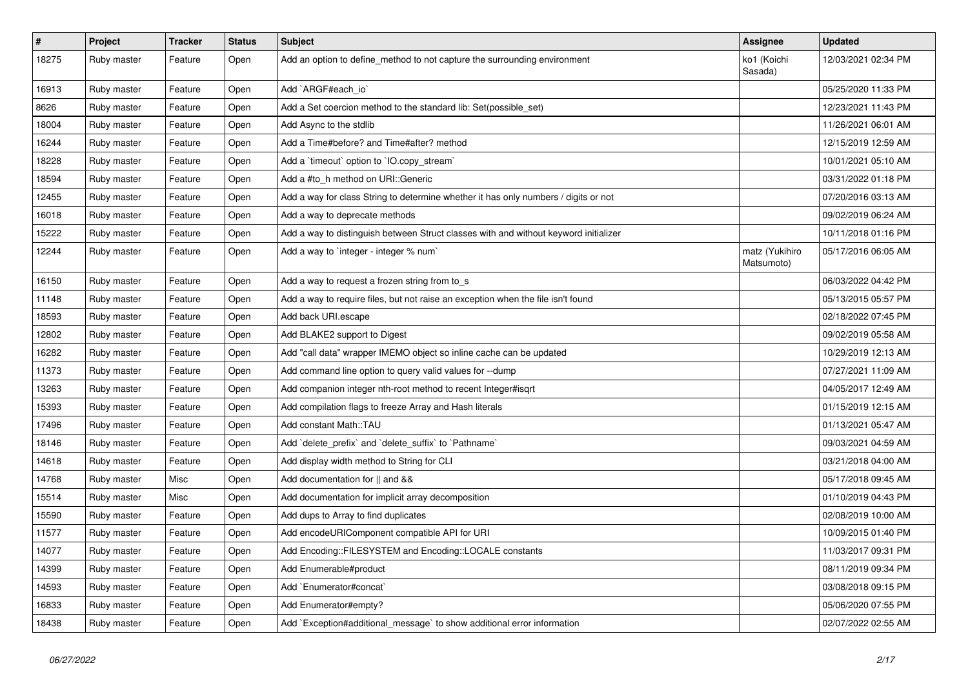| $\vert$ # | Project     | <b>Tracker</b> | <b>Status</b> | <b>Subject</b>                                                                       | <b>Assignee</b>              | <b>Updated</b>      |
|-----------|-------------|----------------|---------------|--------------------------------------------------------------------------------------|------------------------------|---------------------|
| 18275     | Ruby master | Feature        | Open          | Add an option to define_method to not capture the surrounding environment            | ko1 (Koichi<br>Sasada)       | 12/03/2021 02:34 PM |
| 16913     | Ruby master | Feature        | Open          | Add `ARGF#each_io`                                                                   |                              | 05/25/2020 11:33 PM |
| 8626      | Ruby master | Feature        | Open          | Add a Set coercion method to the standard lib: Set(possible set)                     |                              | 12/23/2021 11:43 PM |
| 18004     | Ruby master | Feature        | Open          | Add Async to the stdlib                                                              |                              | 11/26/2021 06:01 AM |
| 16244     | Ruby master | Feature        | Open          | Add a Time#before? and Time#after? method                                            |                              | 12/15/2019 12:59 AM |
| 18228     | Ruby master | Feature        | Open          | Add a `timeout` option to `IO.copy_stream`                                           |                              | 10/01/2021 05:10 AM |
| 18594     | Ruby master | Feature        | Open          | Add a #to_h method on URI::Generic                                                   |                              | 03/31/2022 01:18 PM |
| 12455     | Ruby master | Feature        | Open          | Add a way for class String to determine whether it has only numbers / digits or not  |                              | 07/20/2016 03:13 AM |
| 16018     | Ruby master | Feature        | Open          | Add a way to deprecate methods                                                       |                              | 09/02/2019 06:24 AM |
| 15222     | Ruby master | Feature        | Open          | Add a way to distinguish between Struct classes with and without keyword initializer |                              | 10/11/2018 01:16 PM |
| 12244     | Ruby master | Feature        | Open          | Add a way to `integer - integer % num`                                               | matz (Yukihiro<br>Matsumoto) | 05/17/2016 06:05 AM |
| 16150     | Ruby master | Feature        | Open          | Add a way to request a frozen string from to_s                                       |                              | 06/03/2022 04:42 PM |
| 11148     | Ruby master | Feature        | Open          | Add a way to require files, but not raise an exception when the file isn't found     |                              | 05/13/2015 05:57 PM |
| 18593     | Ruby master | Feature        | Open          | Add back URI.escape                                                                  |                              | 02/18/2022 07:45 PM |
| 12802     | Ruby master | Feature        | Open          | Add BLAKE2 support to Digest                                                         |                              | 09/02/2019 05:58 AM |
| 16282     | Ruby master | Feature        | Open          | Add "call data" wrapper IMEMO object so inline cache can be updated                  |                              | 10/29/2019 12:13 AM |
| 11373     | Ruby master | Feature        | Open          | Add command line option to query valid values for --dump                             |                              | 07/27/2021 11:09 AM |
| 13263     | Ruby master | Feature        | Open          | Add companion integer nth-root method to recent Integer#isgrt                        |                              | 04/05/2017 12:49 AM |
| 15393     | Ruby master | Feature        | Open          | Add compilation flags to freeze Array and Hash literals                              |                              | 01/15/2019 12:15 AM |
| 17496     | Ruby master | Feature        | Open          | Add constant Math::TAU                                                               |                              | 01/13/2021 05:47 AM |
| 18146     | Ruby master | Feature        | Open          | Add `delete_prefix` and `delete_suffix` to `Pathname`                                |                              | 09/03/2021 04:59 AM |
| 14618     | Ruby master | Feature        | Open          | Add display width method to String for CLI                                           |                              | 03/21/2018 04:00 AM |
| 14768     | Ruby master | Misc           | Open          | Add documentation for    and &&                                                      |                              | 05/17/2018 09:45 AM |
| 15514     | Ruby master | Misc           | Open          | Add documentation for implicit array decomposition                                   |                              | 01/10/2019 04:43 PM |
| 15590     | Ruby master | Feature        | Open          | Add dups to Array to find duplicates                                                 |                              | 02/08/2019 10:00 AM |
| 11577     | Ruby master | Feature        | Open          | Add encodeURIComponent compatible API for URI                                        |                              | 10/09/2015 01:40 PM |
| 14077     | Ruby master | Feature        | Open          | Add Encoding::FILESYSTEM and Encoding::LOCALE constants                              |                              | 11/03/2017 09:31 PM |
| 14399     | Ruby master | Feature        | Open          | Add Enumerable#product                                                               |                              | 08/11/2019 09:34 PM |
| 14593     | Ruby master | Feature        | Open          | Add `Enumerator#concat`                                                              |                              | 03/08/2018 09:15 PM |
| 16833     | Ruby master | Feature        | Open          | Add Enumerator#empty?                                                                |                              | 05/06/2020 07:55 PM |
| 18438     | Ruby master | Feature        | Open          | Add `Exception#additional_message` to show additional error information              |                              | 02/07/2022 02:55 AM |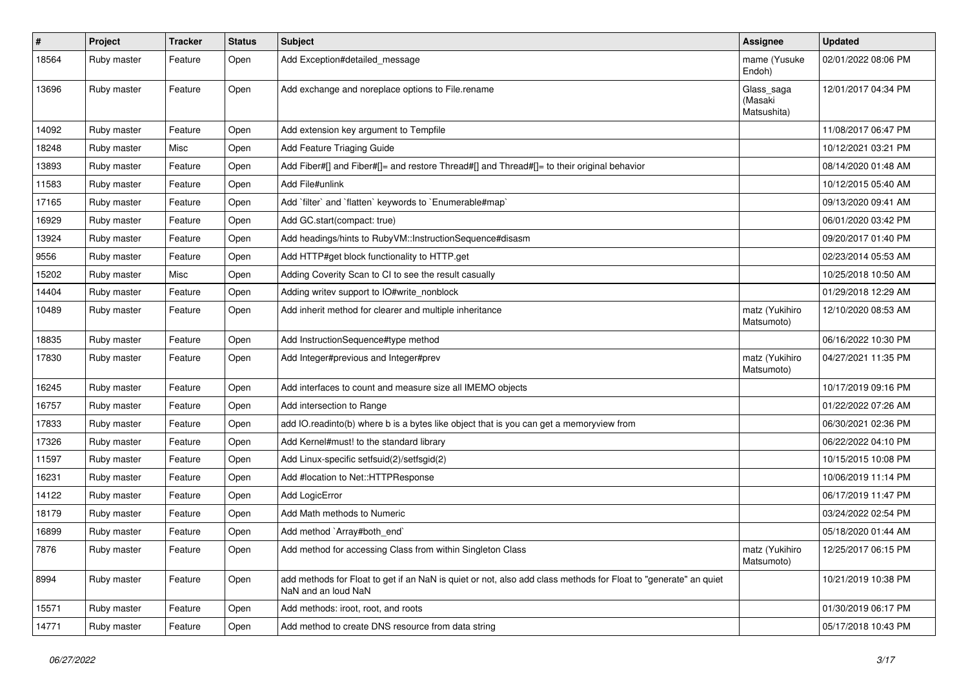| #     | Project     | <b>Tracker</b> | <b>Status</b> | <b>Subject</b>                                                                                                                         | <b>Assignee</b>                      | <b>Updated</b>      |
|-------|-------------|----------------|---------------|----------------------------------------------------------------------------------------------------------------------------------------|--------------------------------------|---------------------|
| 18564 | Ruby master | Feature        | Open          | Add Exception#detailed_message                                                                                                         | mame (Yusuke<br>Endoh)               | 02/01/2022 08:06 PM |
| 13696 | Ruby master | Feature        | Open          | Add exchange and noreplace options to File.rename                                                                                      | Glass_saga<br>(Masaki<br>Matsushita) | 12/01/2017 04:34 PM |
| 14092 | Ruby master | Feature        | Open          | Add extension key argument to Tempfile                                                                                                 |                                      | 11/08/2017 06:47 PM |
| 18248 | Ruby master | Misc           | Open          | Add Feature Triaging Guide                                                                                                             |                                      | 10/12/2021 03:21 PM |
| 13893 | Ruby master | Feature        | Open          | Add Fiber#[] and Fiber#[]= and restore Thread#[] and Thread#[]= to their original behavior                                             |                                      | 08/14/2020 01:48 AM |
| 11583 | Ruby master | Feature        | Open          | Add File#unlink                                                                                                                        |                                      | 10/12/2015 05:40 AM |
| 17165 | Ruby master | Feature        | Open          | Add `filter` and `flatten` keywords to `Enumerable#map`                                                                                |                                      | 09/13/2020 09:41 AM |
| 16929 | Ruby master | Feature        | Open          | Add GC.start(compact: true)                                                                                                            |                                      | 06/01/2020 03:42 PM |
| 13924 | Ruby master | Feature        | Open          | Add headings/hints to RubyVM::InstructionSequence#disasm                                                                               |                                      | 09/20/2017 01:40 PM |
| 9556  | Ruby master | Feature        | Open          | Add HTTP#get block functionality to HTTP.get                                                                                           |                                      | 02/23/2014 05:53 AM |
| 15202 | Ruby master | Misc           | Open          | Adding Coverity Scan to CI to see the result casually                                                                                  |                                      | 10/25/2018 10:50 AM |
| 14404 | Ruby master | Feature        | Open          | Adding writev support to IO#write_nonblock                                                                                             |                                      | 01/29/2018 12:29 AM |
| 10489 | Ruby master | Feature        | Open          | Add inherit method for clearer and multiple inheritance                                                                                | matz (Yukihiro<br>Matsumoto)         | 12/10/2020 08:53 AM |
| 18835 | Ruby master | Feature        | Open          | Add InstructionSequence#type method                                                                                                    |                                      | 06/16/2022 10:30 PM |
| 17830 | Ruby master | Feature        | Open          | Add Integer#previous and Integer#prev                                                                                                  | matz (Yukihiro<br>Matsumoto)         | 04/27/2021 11:35 PM |
| 16245 | Ruby master | Feature        | Open          | Add interfaces to count and measure size all IMEMO objects                                                                             |                                      | 10/17/2019 09:16 PM |
| 16757 | Ruby master | Feature        | Open          | Add intersection to Range                                                                                                              |                                      | 01/22/2022 07:26 AM |
| 17833 | Ruby master | Feature        | Open          | add IO.readinto(b) where b is a bytes like object that is you can get a memoryview from                                                |                                      | 06/30/2021 02:36 PM |
| 17326 | Ruby master | Feature        | Open          | Add Kernel#must! to the standard library                                                                                               |                                      | 06/22/2022 04:10 PM |
| 11597 | Ruby master | Feature        | Open          | Add Linux-specific setfsuid(2)/setfsgid(2)                                                                                             |                                      | 10/15/2015 10:08 PM |
| 16231 | Ruby master | Feature        | Open          | Add #location to Net::HTTPResponse                                                                                                     |                                      | 10/06/2019 11:14 PM |
| 14122 | Ruby master | Feature        | Open          | Add LogicError                                                                                                                         |                                      | 06/17/2019 11:47 PM |
| 18179 | Ruby master | Feature        | Open          | Add Math methods to Numeric                                                                                                            |                                      | 03/24/2022 02:54 PM |
| 16899 | Ruby master | Feature        | Open          | Add method `Array#both_end`                                                                                                            |                                      | 05/18/2020 01:44 AM |
| 7876  | Ruby master | Feature        | Open          | Add method for accessing Class from within Singleton Class                                                                             | matz (Yukihiro<br>Matsumoto)         | 12/25/2017 06:15 PM |
| 8994  | Ruby master | Feature        | Open          | add methods for Float to get if an NaN is quiet or not, also add class methods for Float to "generate" an quiet<br>NaN and an loud NaN |                                      | 10/21/2019 10:38 PM |
| 15571 | Ruby master | Feature        | Open          | Add methods: iroot, root, and roots                                                                                                    |                                      | 01/30/2019 06:17 PM |
| 14771 | Ruby master | Feature        | Open          | Add method to create DNS resource from data string                                                                                     |                                      | 05/17/2018 10:43 PM |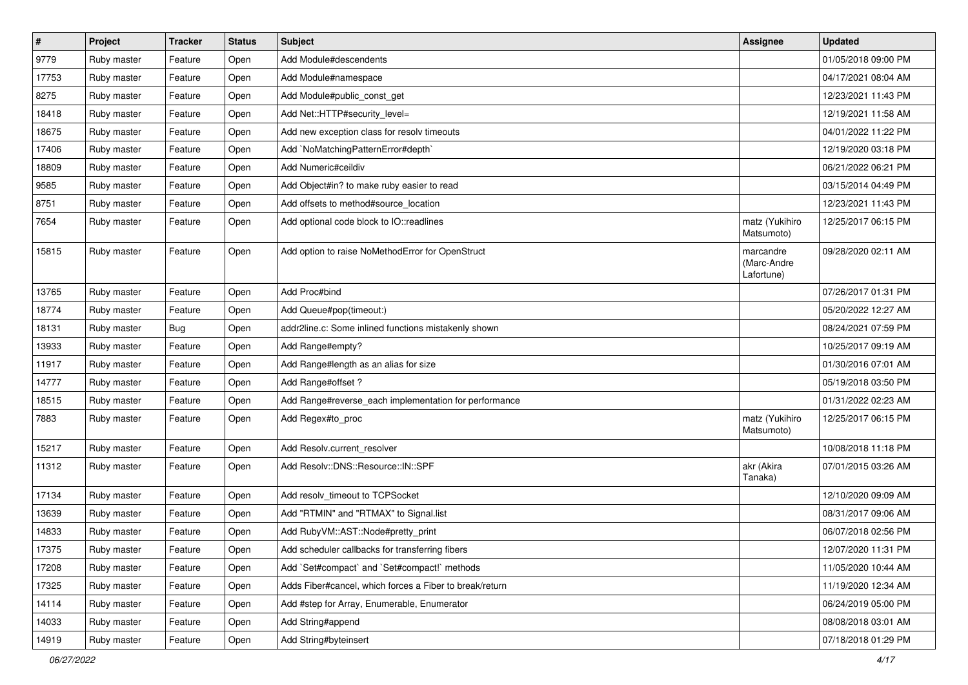| $\vert$ # | Project     | <b>Tracker</b> | <b>Status</b> | Subject                                                 | <b>Assignee</b>                        | <b>Updated</b>      |
|-----------|-------------|----------------|---------------|---------------------------------------------------------|----------------------------------------|---------------------|
| 9779      | Ruby master | Feature        | Open          | Add Module#descendents                                  |                                        | 01/05/2018 09:00 PM |
| 17753     | Ruby master | Feature        | Open          | Add Module#namespace                                    |                                        | 04/17/2021 08:04 AM |
| 8275      | Ruby master | Feature        | Open          | Add Module#public_const_get                             |                                        | 12/23/2021 11:43 PM |
| 18418     | Ruby master | Feature        | Open          | Add Net::HTTP#security_level=                           |                                        | 12/19/2021 11:58 AM |
| 18675     | Ruby master | Feature        | Open          | Add new exception class for resolv timeouts             |                                        | 04/01/2022 11:22 PM |
| 17406     | Ruby master | Feature        | Open          | Add `NoMatchingPatternError#depth`                      |                                        | 12/19/2020 03:18 PM |
| 18809     | Ruby master | Feature        | Open          | Add Numeric#ceildiv                                     |                                        | 06/21/2022 06:21 PM |
| 9585      | Ruby master | Feature        | Open          | Add Object#in? to make ruby easier to read              |                                        | 03/15/2014 04:49 PM |
| 8751      | Ruby master | Feature        | Open          | Add offsets to method#source_location                   |                                        | 12/23/2021 11:43 PM |
| 7654      | Ruby master | Feature        | Open          | Add optional code block to IO::readlines                | matz (Yukihiro<br>Matsumoto)           | 12/25/2017 06:15 PM |
| 15815     | Ruby master | Feature        | Open          | Add option to raise NoMethodError for OpenStruct        | marcandre<br>(Marc-Andre<br>Lafortune) | 09/28/2020 02:11 AM |
| 13765     | Ruby master | Feature        | Open          | Add Proc#bind                                           |                                        | 07/26/2017 01:31 PM |
| 18774     | Ruby master | Feature        | Open          | Add Queue#pop(timeout:)                                 |                                        | 05/20/2022 12:27 AM |
| 18131     | Ruby master | <b>Bug</b>     | Open          | addr2line.c: Some inlined functions mistakenly shown    |                                        | 08/24/2021 07:59 PM |
| 13933     | Ruby master | Feature        | Open          | Add Range#empty?                                        |                                        | 10/25/2017 09:19 AM |
| 11917     | Ruby master | Feature        | Open          | Add Range#length as an alias for size                   |                                        | 01/30/2016 07:01 AM |
| 14777     | Ruby master | Feature        | Open          | Add Range#offset?                                       |                                        | 05/19/2018 03:50 PM |
| 18515     | Ruby master | Feature        | Open          | Add Range#reverse_each implementation for performance   |                                        | 01/31/2022 02:23 AM |
| 7883      | Ruby master | Feature        | Open          | Add Regex#to_proc                                       | matz (Yukihiro<br>Matsumoto)           | 12/25/2017 06:15 PM |
| 15217     | Ruby master | Feature        | Open          | Add Resolv.current_resolver                             |                                        | 10/08/2018 11:18 PM |
| 11312     | Ruby master | Feature        | Open          | Add Resolv::DNS::Resource::IN::SPF                      | akr (Akira<br>Tanaka)                  | 07/01/2015 03:26 AM |
| 17134     | Ruby master | Feature        | Open          | Add resolv_timeout to TCPSocket                         |                                        | 12/10/2020 09:09 AM |
| 13639     | Ruby master | Feature        | Open          | Add "RTMIN" and "RTMAX" to Signal.list                  |                                        | 08/31/2017 09:06 AM |
| 14833     | Ruby master | Feature        | Open          | Add RubyVM::AST::Node#pretty_print                      |                                        | 06/07/2018 02:56 PM |
| 17375     | Ruby master | Feature        | Open          | Add scheduler callbacks for transferring fibers         |                                        | 12/07/2020 11:31 PM |
| 17208     | Ruby master | Feature        | Open          | Add `Set#compact` and `Set#compact!` methods            |                                        | 11/05/2020 10:44 AM |
| 17325     | Ruby master | Feature        | Open          | Adds Fiber#cancel, which forces a Fiber to break/return |                                        | 11/19/2020 12:34 AM |
| 14114     | Ruby master | Feature        | Open          | Add #step for Array, Enumerable, Enumerator             |                                        | 06/24/2019 05:00 PM |
| 14033     | Ruby master | Feature        | Open          | Add String#append                                       |                                        | 08/08/2018 03:01 AM |
| 14919     | Ruby master | Feature        | Open          | Add String#byteinsert                                   |                                        | 07/18/2018 01:29 PM |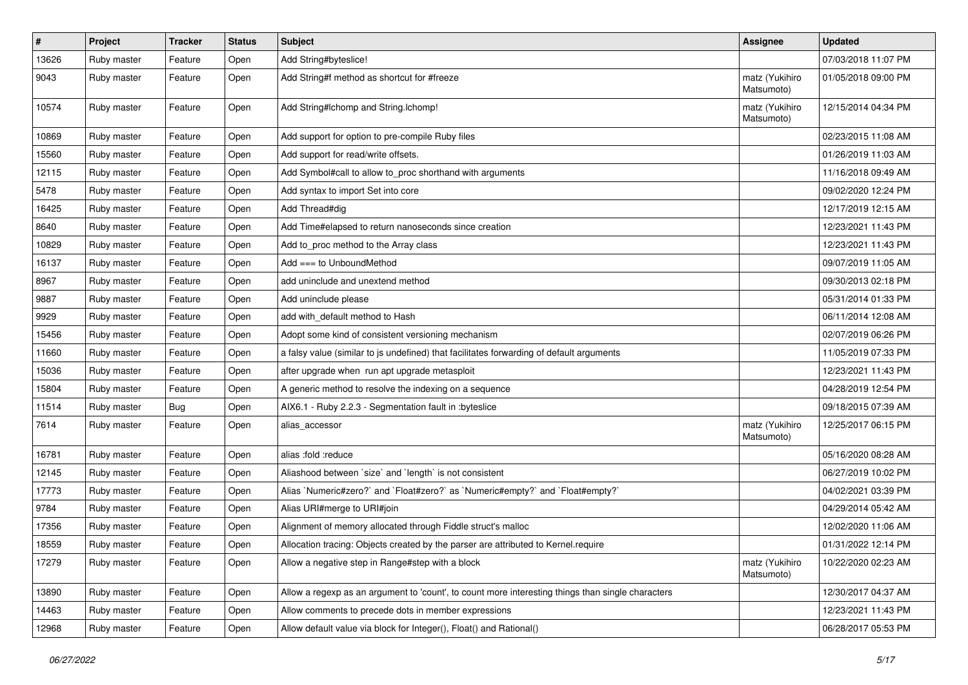| $\pmb{\#}$ | Project     | <b>Tracker</b> | <b>Status</b> | Subject                                                                                           | <b>Assignee</b>              | <b>Updated</b>      |
|------------|-------------|----------------|---------------|---------------------------------------------------------------------------------------------------|------------------------------|---------------------|
| 13626      | Ruby master | Feature        | Open          | Add String#byteslice!                                                                             |                              | 07/03/2018 11:07 PM |
| 9043       | Ruby master | Feature        | Open          | Add String#f method as shortcut for #freeze                                                       | matz (Yukihiro<br>Matsumoto) | 01/05/2018 09:00 PM |
| 10574      | Ruby master | Feature        | Open          | Add String#Ichomp and String.Ichomp!                                                              | matz (Yukihiro<br>Matsumoto) | 12/15/2014 04:34 PM |
| 10869      | Ruby master | Feature        | Open          | Add support for option to pre-compile Ruby files                                                  |                              | 02/23/2015 11:08 AM |
| 15560      | Ruby master | Feature        | Open          | Add support for read/write offsets.                                                               |                              | 01/26/2019 11:03 AM |
| 12115      | Ruby master | Feature        | Open          | Add Symbol#call to allow to_proc shorthand with arguments                                         |                              | 11/16/2018 09:49 AM |
| 5478       | Ruby master | Feature        | Open          | Add syntax to import Set into core                                                                |                              | 09/02/2020 12:24 PM |
| 16425      | Ruby master | Feature        | Open          | Add Thread#dig                                                                                    |                              | 12/17/2019 12:15 AM |
| 8640       | Ruby master | Feature        | Open          | Add Time#elapsed to return nanoseconds since creation                                             |                              | 12/23/2021 11:43 PM |
| 10829      | Ruby master | Feature        | Open          | Add to_proc method to the Array class                                                             |                              | 12/23/2021 11:43 PM |
| 16137      | Ruby master | Feature        | Open          | Add $==$ to UnboundMethod                                                                         |                              | 09/07/2019 11:05 AM |
| 8967       | Ruby master | Feature        | Open          | add uninclude and unextend method                                                                 |                              | 09/30/2013 02:18 PM |
| 9887       | Ruby master | Feature        | Open          | Add uninclude please                                                                              |                              | 05/31/2014 01:33 PM |
| 9929       | Ruby master | Feature        | Open          | add with_default method to Hash                                                                   |                              | 06/11/2014 12:08 AM |
| 15456      | Ruby master | Feature        | Open          | Adopt some kind of consistent versioning mechanism                                                |                              | 02/07/2019 06:26 PM |
| 11660      | Ruby master | Feature        | Open          | a falsy value (similar to js undefined) that facilitates forwarding of default arguments          |                              | 11/05/2019 07:33 PM |
| 15036      | Ruby master | Feature        | Open          | after upgrade when run apt upgrade metasploit                                                     |                              | 12/23/2021 11:43 PM |
| 15804      | Ruby master | Feature        | Open          | A generic method to resolve the indexing on a sequence                                            |                              | 04/28/2019 12:54 PM |
| 11514      | Ruby master | Bug            | Open          | AIX6.1 - Ruby 2.2.3 - Segmentation fault in :byteslice                                            |                              | 09/18/2015 07:39 AM |
| 7614       | Ruby master | Feature        | Open          | alias_accessor                                                                                    | matz (Yukihiro<br>Matsumoto) | 12/25/2017 06:15 PM |
| 16781      | Ruby master | Feature        | Open          | alias :fold :reduce                                                                               |                              | 05/16/2020 08:28 AM |
| 12145      | Ruby master | Feature        | Open          | Aliashood between 'size' and 'length' is not consistent                                           |                              | 06/27/2019 10:02 PM |
| 17773      | Ruby master | Feature        | Open          | Alias `Numeric#zero?` and `Float#zero?` as `Numeric#empty?` and `Float#empty?`                    |                              | 04/02/2021 03:39 PM |
| 9784       | Ruby master | Feature        | Open          | Alias URI#merge to URI#join                                                                       |                              | 04/29/2014 05:42 AM |
| 17356      | Ruby master | Feature        | Open          | Alignment of memory allocated through Fiddle struct's malloc                                      |                              | 12/02/2020 11:06 AM |
| 18559      | Ruby master | Feature        | Open          | Allocation tracing: Objects created by the parser are attributed to Kernel.require                |                              | 01/31/2022 12:14 PM |
| 17279      | Ruby master | Feature        | Open          | Allow a negative step in Range#step with a block                                                  | matz (Yukihiro<br>Matsumoto) | 10/22/2020 02:23 AM |
| 13890      | Ruby master | Feature        | Open          | Allow a regexp as an argument to 'count', to count more interesting things than single characters |                              | 12/30/2017 04:37 AM |
| 14463      | Ruby master | Feature        | Open          | Allow comments to precede dots in member expressions                                              |                              | 12/23/2021 11:43 PM |
| 12968      | Ruby master | Feature        | Open          | Allow default value via block for Integer(), Float() and Rational()                               |                              | 06/28/2017 05:53 PM |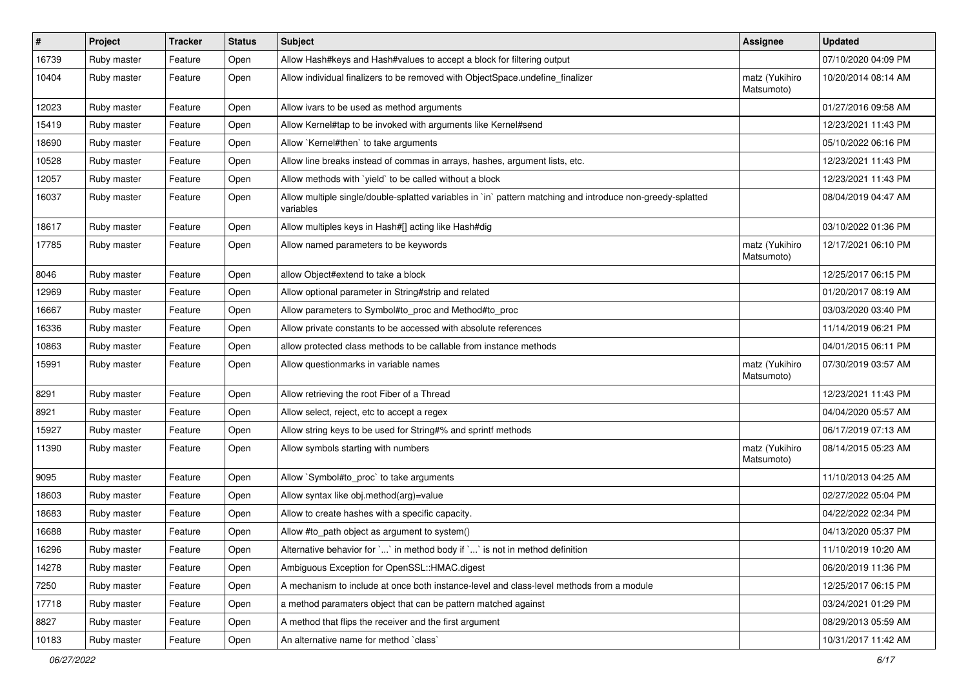| $\vert$ # | Project     | <b>Tracker</b> | <b>Status</b> | <b>Subject</b>                                                                                                          | <b>Assignee</b>              | <b>Updated</b>      |
|-----------|-------------|----------------|---------------|-------------------------------------------------------------------------------------------------------------------------|------------------------------|---------------------|
| 16739     | Ruby master | Feature        | Open          | Allow Hash#keys and Hash#values to accept a block for filtering output                                                  |                              | 07/10/2020 04:09 PM |
| 10404     | Ruby master | Feature        | Open          | Allow individual finalizers to be removed with ObjectSpace.undefine_finalizer                                           | matz (Yukihiro<br>Matsumoto) | 10/20/2014 08:14 AM |
| 12023     | Ruby master | Feature        | Open          | Allow ivars to be used as method arguments                                                                              |                              | 01/27/2016 09:58 AM |
| 15419     | Ruby master | Feature        | Open          | Allow Kernel#tap to be invoked with arguments like Kernel#send                                                          |                              | 12/23/2021 11:43 PM |
| 18690     | Ruby master | Feature        | Open          | Allow `Kernel#then` to take arguments                                                                                   |                              | 05/10/2022 06:16 PM |
| 10528     | Ruby master | Feature        | Open          | Allow line breaks instead of commas in arrays, hashes, argument lists, etc.                                             |                              | 12/23/2021 11:43 PM |
| 12057     | Ruby master | Feature        | Open          | Allow methods with `yield` to be called without a block                                                                 |                              | 12/23/2021 11:43 PM |
| 16037     | Ruby master | Feature        | Open          | Allow multiple single/double-splatted variables in `in` pattern matching and introduce non-greedy-splatted<br>variables |                              | 08/04/2019 04:47 AM |
| 18617     | Ruby master | Feature        | Open          | Allow multiples keys in Hash#[] acting like Hash#dig                                                                    |                              | 03/10/2022 01:36 PM |
| 17785     | Ruby master | Feature        | Open          | Allow named parameters to be keywords                                                                                   | matz (Yukihiro<br>Matsumoto) | 12/17/2021 06:10 PM |
| 8046      | Ruby master | Feature        | Open          | allow Object#extend to take a block                                                                                     |                              | 12/25/2017 06:15 PM |
| 12969     | Ruby master | Feature        | Open          | Allow optional parameter in String#strip and related                                                                    |                              | 01/20/2017 08:19 AM |
| 16667     | Ruby master | Feature        | Open          | Allow parameters to Symbol#to_proc and Method#to_proc                                                                   |                              | 03/03/2020 03:40 PM |
| 16336     | Ruby master | Feature        | Open          | Allow private constants to be accessed with absolute references                                                         |                              | 11/14/2019 06:21 PM |
| 10863     | Ruby master | Feature        | Open          | allow protected class methods to be callable from instance methods                                                      |                              | 04/01/2015 06:11 PM |
| 15991     | Ruby master | Feature        | Open          | Allow questionmarks in variable names                                                                                   | matz (Yukihiro<br>Matsumoto) | 07/30/2019 03:57 AM |
| 8291      | Ruby master | Feature        | Open          | Allow retrieving the root Fiber of a Thread                                                                             |                              | 12/23/2021 11:43 PM |
| 8921      | Ruby master | Feature        | Open          | Allow select, reject, etc to accept a regex                                                                             |                              | 04/04/2020 05:57 AM |
| 15927     | Ruby master | Feature        | Open          | Allow string keys to be used for String#% and sprintf methods                                                           |                              | 06/17/2019 07:13 AM |
| 11390     | Ruby master | Feature        | Open          | Allow symbols starting with numbers                                                                                     | matz (Yukihiro<br>Matsumoto) | 08/14/2015 05:23 AM |
| 9095      | Ruby master | Feature        | Open          | Allow `Symbol#to_proc` to take arguments                                                                                |                              | 11/10/2013 04:25 AM |
| 18603     | Ruby master | Feature        | Open          | Allow syntax like obj.method(arg)=value                                                                                 |                              | 02/27/2022 05:04 PM |
| 18683     | Ruby master | Feature        | Open          | Allow to create hashes with a specific capacity.                                                                        |                              | 04/22/2022 02:34 PM |
| 16688     | Ruby master | Feature        | Open          | Allow #to_path object as argument to system()                                                                           |                              | 04/13/2020 05:37 PM |
| 16296     | Ruby master | Feature        | Open          | Alternative behavior for $\ldots$ in method body if $\ldots$ is not in method definition                                |                              | 11/10/2019 10:20 AM |
| 14278     | Ruby master | Feature        | Open          | Ambiguous Exception for OpenSSL::HMAC.digest                                                                            |                              | 06/20/2019 11:36 PM |
| 7250      | Ruby master | Feature        | Open          | A mechanism to include at once both instance-level and class-level methods from a module                                |                              | 12/25/2017 06:15 PM |
| 17718     | Ruby master | Feature        | Open          | a method paramaters object that can be pattern matched against                                                          |                              | 03/24/2021 01:29 PM |
| 8827      | Ruby master | Feature        | Open          | A method that flips the receiver and the first argument                                                                 |                              | 08/29/2013 05:59 AM |
| 10183     | Ruby master | Feature        | Open          | An alternative name for method `class`                                                                                  |                              | 10/31/2017 11:42 AM |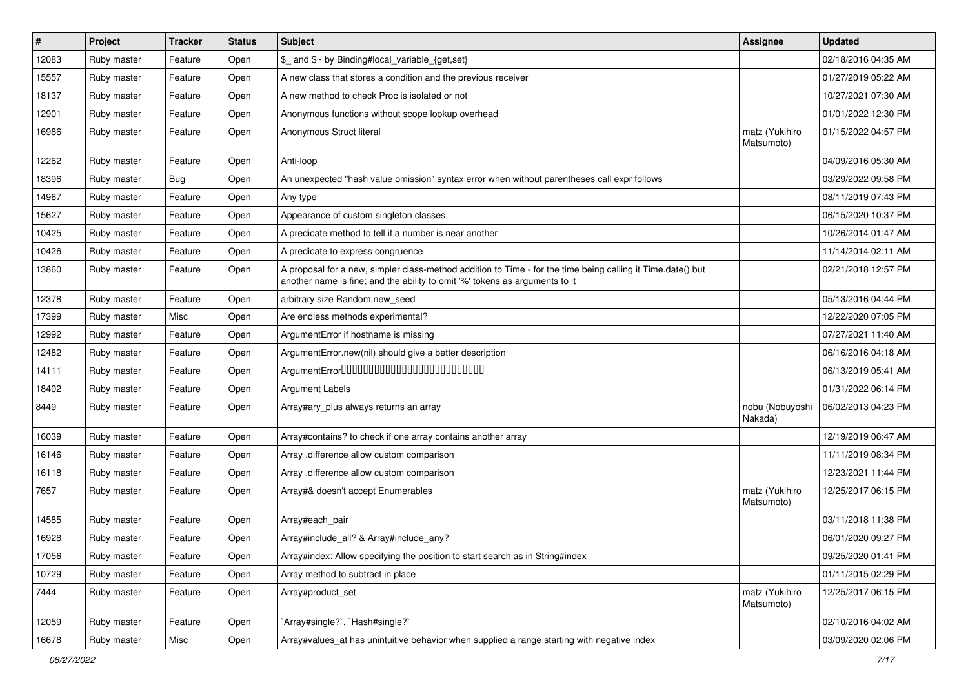| #     | Project     | <b>Tracker</b> | <b>Status</b> | Subject                                                                                                                                                                                    | Assignee                     | <b>Updated</b>      |
|-------|-------------|----------------|---------------|--------------------------------------------------------------------------------------------------------------------------------------------------------------------------------------------|------------------------------|---------------------|
| 12083 | Ruby master | Feature        | Open          | \$_ and \$~ by Binding#local_variable_{get,set}                                                                                                                                            |                              | 02/18/2016 04:35 AM |
| 15557 | Ruby master | Feature        | Open          | A new class that stores a condition and the previous receiver                                                                                                                              |                              | 01/27/2019 05:22 AM |
| 18137 | Ruby master | Feature        | Open          | A new method to check Proc is isolated or not                                                                                                                                              |                              | 10/27/2021 07:30 AM |
| 12901 | Ruby master | Feature        | Open          | Anonymous functions without scope lookup overhead                                                                                                                                          |                              | 01/01/2022 12:30 PM |
| 16986 | Ruby master | Feature        | Open          | Anonymous Struct literal                                                                                                                                                                   | matz (Yukihiro<br>Matsumoto) | 01/15/2022 04:57 PM |
| 12262 | Ruby master | Feature        | Open          | Anti-loop                                                                                                                                                                                  |                              | 04/09/2016 05:30 AM |
| 18396 | Ruby master | <b>Bug</b>     | Open          | An unexpected "hash value omission" syntax error when without parentheses call expr follows                                                                                                |                              | 03/29/2022 09:58 PM |
| 14967 | Ruby master | Feature        | Open          | Any type                                                                                                                                                                                   |                              | 08/11/2019 07:43 PM |
| 15627 | Ruby master | Feature        | Open          | Appearance of custom singleton classes                                                                                                                                                     |                              | 06/15/2020 10:37 PM |
| 10425 | Ruby master | Feature        | Open          | A predicate method to tell if a number is near another                                                                                                                                     |                              | 10/26/2014 01:47 AM |
| 10426 | Ruby master | Feature        | Open          | A predicate to express congruence                                                                                                                                                          |                              | 11/14/2014 02:11 AM |
| 13860 | Ruby master | Feature        | Open          | A proposal for a new, simpler class-method addition to Time - for the time being calling it Time.date() but<br>another name is fine; and the ability to omit '%' tokens as arguments to it |                              | 02/21/2018 12:57 PM |
| 12378 | Ruby master | Feature        | Open          | arbitrary size Random.new_seed                                                                                                                                                             |                              | 05/13/2016 04:44 PM |
| 17399 | Ruby master | Misc           | Open          | Are endless methods experimental?                                                                                                                                                          |                              | 12/22/2020 07:05 PM |
| 12992 | Ruby master | Feature        | Open          | ArgumentError if hostname is missing                                                                                                                                                       |                              | 07/27/2021 11:40 AM |
| 12482 | Ruby master | Feature        | Open          | ArgumentError.new(nil) should give a better description                                                                                                                                    |                              | 06/16/2016 04:18 AM |
| 14111 | Ruby master | Feature        | Open          | ArgumentError00000000000000000000000000                                                                                                                                                    |                              | 06/13/2019 05:41 AM |
| 18402 | Ruby master | Feature        | Open          | <b>Argument Labels</b>                                                                                                                                                                     |                              | 01/31/2022 06:14 PM |
| 8449  | Ruby master | Feature        | Open          | Array#ary_plus always returns an array                                                                                                                                                     | nobu (Nobuyoshi<br>Nakada)   | 06/02/2013 04:23 PM |
| 16039 | Ruby master | Feature        | Open          | Array#contains? to check if one array contains another array                                                                                                                               |                              | 12/19/2019 06:47 AM |
| 16146 | Ruby master | Feature        | Open          | Array .difference allow custom comparison                                                                                                                                                  |                              | 11/11/2019 08:34 PM |
| 16118 | Ruby master | Feature        | Open          | Array .difference allow custom comparison                                                                                                                                                  |                              | 12/23/2021 11:44 PM |
| 7657  | Ruby master | Feature        | Open          | Array#& doesn't accept Enumerables                                                                                                                                                         | matz (Yukihiro<br>Matsumoto) | 12/25/2017 06:15 PM |
| 14585 | Ruby master | Feature        | Open          | Array#each_pair                                                                                                                                                                            |                              | 03/11/2018 11:38 PM |
| 16928 | Ruby master | Feature        | Open          | Array#include_all? & Array#include_any?                                                                                                                                                    |                              | 06/01/2020 09:27 PM |
| 17056 | Ruby master | Feature        | Open          | Array#index: Allow specifying the position to start search as in String#index                                                                                                              |                              | 09/25/2020 01:41 PM |
| 10729 | Ruby master | Feature        | Open          | Array method to subtract in place                                                                                                                                                          |                              | 01/11/2015 02:29 PM |
| 7444  | Ruby master | Feature        | Open          | Array#product_set                                                                                                                                                                          | matz (Yukihiro<br>Matsumoto) | 12/25/2017 06:15 PM |
| 12059 | Ruby master | Feature        | Open          | `Array#single?`, `Hash#single?`                                                                                                                                                            |                              | 02/10/2016 04:02 AM |
| 16678 | Ruby master | Misc           | Open          | Array#values_at has unintuitive behavior when supplied a range starting with negative index                                                                                                |                              | 03/09/2020 02:06 PM |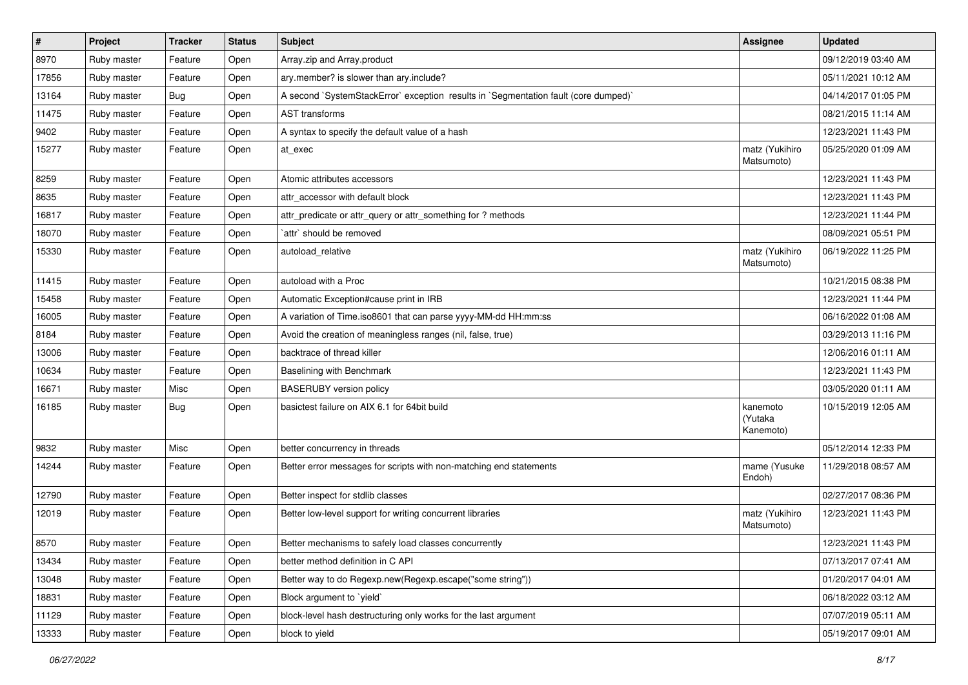| $\pmb{\#}$ | Project     | <b>Tracker</b> | <b>Status</b> | Subject                                                                             | Assignee                         | <b>Updated</b>      |
|------------|-------------|----------------|---------------|-------------------------------------------------------------------------------------|----------------------------------|---------------------|
| 8970       | Ruby master | Feature        | Open          | Array.zip and Array.product                                                         |                                  | 09/12/2019 03:40 AM |
| 17856      | Ruby master | Feature        | Open          | ary.member? is slower than ary.include?                                             |                                  | 05/11/2021 10:12 AM |
| 13164      | Ruby master | <b>Bug</b>     | Open          | A second `SystemStackError` exception results in `Segmentation fault (core dumped)` |                                  | 04/14/2017 01:05 PM |
| 11475      | Ruby master | Feature        | Open          | <b>AST</b> transforms                                                               |                                  | 08/21/2015 11:14 AM |
| 9402       | Ruby master | Feature        | Open          | A syntax to specify the default value of a hash                                     |                                  | 12/23/2021 11:43 PM |
| 15277      | Ruby master | Feature        | Open          | at exec                                                                             | matz (Yukihiro<br>Matsumoto)     | 05/25/2020 01:09 AM |
| 8259       | Ruby master | Feature        | Open          | Atomic attributes accessors                                                         |                                  | 12/23/2021 11:43 PM |
| 8635       | Ruby master | Feature        | Open          | attr accessor with default block                                                    |                                  | 12/23/2021 11:43 PM |
| 16817      | Ruby master | Feature        | Open          | attr_predicate or attr_query or attr_something for ? methods                        |                                  | 12/23/2021 11:44 PM |
| 18070      | Ruby master | Feature        | Open          | `attr` should be removed                                                            |                                  | 08/09/2021 05:51 PM |
| 15330      | Ruby master | Feature        | Open          | autoload relative                                                                   | matz (Yukihiro<br>Matsumoto)     | 06/19/2022 11:25 PM |
| 11415      | Ruby master | Feature        | Open          | autoload with a Proc                                                                |                                  | 10/21/2015 08:38 PM |
| 15458      | Ruby master | Feature        | Open          | Automatic Exception#cause print in IRB                                              |                                  | 12/23/2021 11:44 PM |
| 16005      | Ruby master | Feature        | Open          | A variation of Time.iso8601 that can parse yyyy-MM-dd HH:mm:ss                      |                                  | 06/16/2022 01:08 AM |
| 8184       | Ruby master | Feature        | Open          | Avoid the creation of meaningless ranges (nil, false, true)                         |                                  | 03/29/2013 11:16 PM |
| 13006      | Ruby master | Feature        | Open          | backtrace of thread killer                                                          |                                  | 12/06/2016 01:11 AM |
| 10634      | Ruby master | Feature        | Open          | Baselining with Benchmark                                                           |                                  | 12/23/2021 11:43 PM |
| 16671      | Ruby master | Misc           | Open          | <b>BASERUBY</b> version policy                                                      |                                  | 03/05/2020 01:11 AM |
| 16185      | Ruby master | <b>Bug</b>     | Open          | basictest failure on AIX 6.1 for 64bit build                                        | kanemoto<br>(Yutaka<br>Kanemoto) | 10/15/2019 12:05 AM |
| 9832       | Ruby master | Misc           | Open          | better concurrency in threads                                                       |                                  | 05/12/2014 12:33 PM |
| 14244      | Ruby master | Feature        | Open          | Better error messages for scripts with non-matching end statements                  | mame (Yusuke<br>Endoh)           | 11/29/2018 08:57 AM |
| 12790      | Ruby master | Feature        | Open          | Better inspect for stdlib classes                                                   |                                  | 02/27/2017 08:36 PM |
| 12019      | Ruby master | Feature        | Open          | Better low-level support for writing concurrent libraries                           | matz (Yukihiro<br>Matsumoto)     | 12/23/2021 11:43 PM |
| 8570       | Ruby master | Feature        | Open          | Better mechanisms to safely load classes concurrently                               |                                  | 12/23/2021 11:43 PM |
| 13434      | Ruby master | Feature        | Open          | better method definition in C API                                                   |                                  | 07/13/2017 07:41 AM |
| 13048      | Ruby master | Feature        | Open          | Better way to do Regexp.new(Regexp.escape("some string"))                           |                                  | 01/20/2017 04:01 AM |
| 18831      | Ruby master | Feature        | Open          | Block argument to `yield`                                                           |                                  | 06/18/2022 03:12 AM |
| 11129      | Ruby master | Feature        | Open          | block-level hash destructuring only works for the last argument                     |                                  | 07/07/2019 05:11 AM |
| 13333      | Ruby master | Feature        | Open          | block to yield                                                                      |                                  | 05/19/2017 09:01 AM |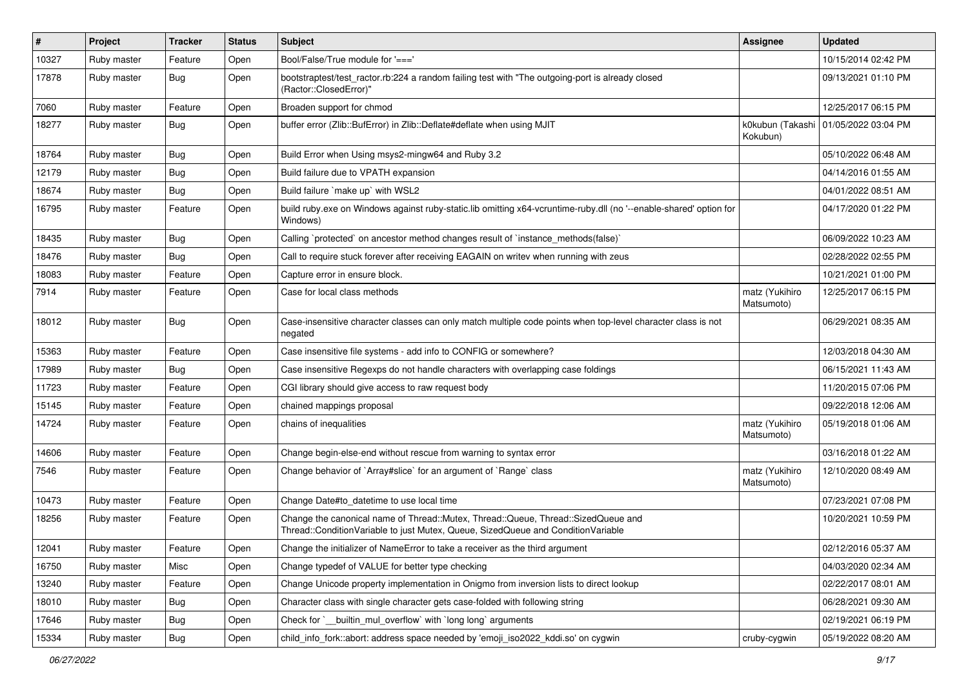| $\vert$ # | Project     | <b>Tracker</b> | <b>Status</b> | Subject                                                                                                                                                               | <b>Assignee</b>              | <b>Updated</b>      |
|-----------|-------------|----------------|---------------|-----------------------------------------------------------------------------------------------------------------------------------------------------------------------|------------------------------|---------------------|
| 10327     | Ruby master | Feature        | Open          | Bool/False/True module for '==='                                                                                                                                      |                              | 10/15/2014 02:42 PM |
| 17878     | Ruby master | <b>Bug</b>     | Open          | bootstraptest/test_ractor.rb:224 a random failing test with "The outgoing-port is already closed<br>(Ractor::ClosedError)"                                            |                              | 09/13/2021 01:10 PM |
| 7060      | Ruby master | Feature        | Open          | Broaden support for chmod                                                                                                                                             |                              | 12/25/2017 06:15 PM |
| 18277     | Ruby master | Bug            | Open          | buffer error (Zlib::BufError) in Zlib::Deflate#deflate when using MJIT                                                                                                | k0kubun (Takashi<br>Kokubun) | 01/05/2022 03:04 PM |
| 18764     | Ruby master | <b>Bug</b>     | Open          | Build Error when Using msys2-mingw64 and Ruby 3.2                                                                                                                     |                              | 05/10/2022 06:48 AM |
| 12179     | Ruby master | <b>Bug</b>     | Open          | Build failure due to VPATH expansion                                                                                                                                  |                              | 04/14/2016 01:55 AM |
| 18674     | Ruby master | <b>Bug</b>     | Open          | Build failure `make up` with WSL2                                                                                                                                     |                              | 04/01/2022 08:51 AM |
| 16795     | Ruby master | Feature        | Open          | build ruby.exe on Windows against ruby-static.lib omitting x64-vcruntime-ruby.dll (no '--enable-shared' option for<br>Windows)                                        |                              | 04/17/2020 01:22 PM |
| 18435     | Ruby master | <b>Bug</b>     | Open          | Calling `protected` on ancestor method changes result of `instance_methods(false)`                                                                                    |                              | 06/09/2022 10:23 AM |
| 18476     | Ruby master | <b>Bug</b>     | Open          | Call to require stuck forever after receiving EAGAIN on writev when running with zeus                                                                                 |                              | 02/28/2022 02:55 PM |
| 18083     | Ruby master | Feature        | Open          | Capture error in ensure block.                                                                                                                                        |                              | 10/21/2021 01:00 PM |
| 7914      | Ruby master | Feature        | Open          | Case for local class methods                                                                                                                                          | matz (Yukihiro<br>Matsumoto) | 12/25/2017 06:15 PM |
| 18012     | Ruby master | Bug            | Open          | Case-insensitive character classes can only match multiple code points when top-level character class is not<br>negated                                               |                              | 06/29/2021 08:35 AM |
| 15363     | Ruby master | Feature        | Open          | Case insensitive file systems - add info to CONFIG or somewhere?                                                                                                      |                              | 12/03/2018 04:30 AM |
| 17989     | Ruby master | Bug            | Open          | Case insensitive Regexps do not handle characters with overlapping case foldings                                                                                      |                              | 06/15/2021 11:43 AM |
| 11723     | Ruby master | Feature        | Open          | CGI library should give access to raw request body                                                                                                                    |                              | 11/20/2015 07:06 PM |
| 15145     | Ruby master | Feature        | Open          | chained mappings proposal                                                                                                                                             |                              | 09/22/2018 12:06 AM |
| 14724     | Ruby master | Feature        | Open          | chains of inequalities                                                                                                                                                | matz (Yukihiro<br>Matsumoto) | 05/19/2018 01:06 AM |
| 14606     | Ruby master | Feature        | Open          | Change begin-else-end without rescue from warning to syntax error                                                                                                     |                              | 03/16/2018 01:22 AM |
| 7546      | Ruby master | Feature        | Open          | Change behavior of `Array#slice` for an argument of `Range` class                                                                                                     | matz (Yukihiro<br>Matsumoto) | 12/10/2020 08:49 AM |
| 10473     | Ruby master | Feature        | Open          | Change Date#to_datetime to use local time                                                                                                                             |                              | 07/23/2021 07:08 PM |
| 18256     | Ruby master | Feature        | Open          | Change the canonical name of Thread::Mutex, Thread::Queue, Thread::SizedQueue and<br>Thread::ConditionVariable to just Mutex, Queue, SizedQueue and ConditionVariable |                              | 10/20/2021 10:59 PM |
| 12041     | Ruby master | Feature        | Open          | Change the initializer of NameError to take a receiver as the third argument                                                                                          |                              | 02/12/2016 05:37 AM |
| 16750     | Ruby master | Misc           | Open          | Change typedef of VALUE for better type checking                                                                                                                      |                              | 04/03/2020 02:34 AM |
| 13240     | Ruby master | Feature        | Open          | Change Unicode property implementation in Onigmo from inversion lists to direct lookup                                                                                |                              | 02/22/2017 08:01 AM |
| 18010     | Ruby master | <b>Bug</b>     | Open          | Character class with single character gets case-folded with following string                                                                                          |                              | 06/28/2021 09:30 AM |
| 17646     | Ruby master | Bug            | Open          | Check for `_builtin_mul_overflow` with `long long` arguments                                                                                                          |                              | 02/19/2021 06:19 PM |
| 15334     | Ruby master | Bug            | Open          | child_info_fork::abort: address space needed by 'emoji_iso2022_kddi.so' on cygwin                                                                                     | cruby-cygwin                 | 05/19/2022 08:20 AM |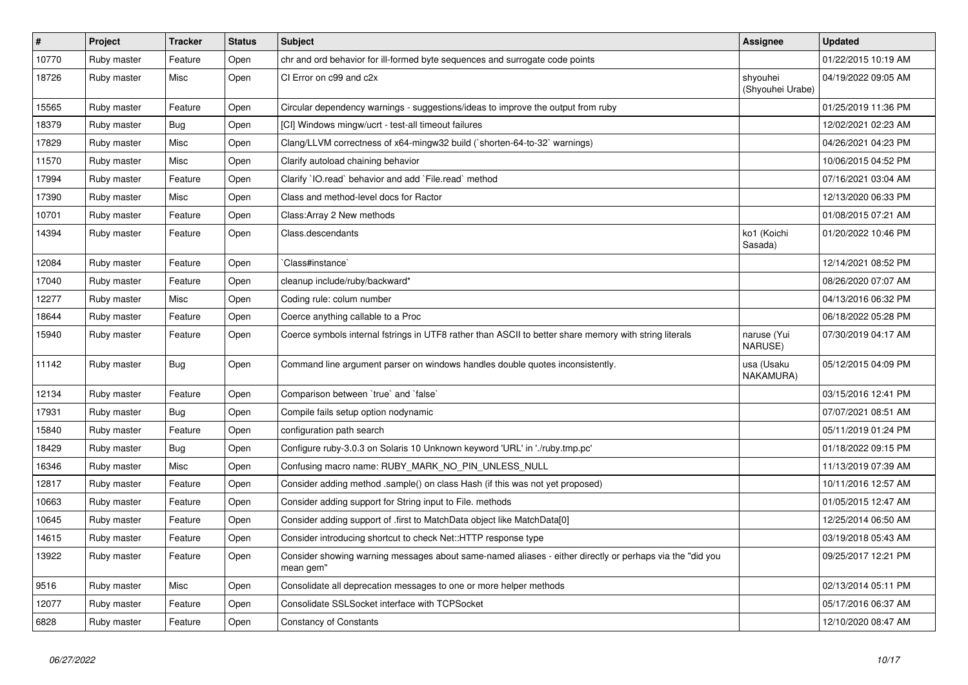| $\vert$ # | Project     | <b>Tracker</b> | <b>Status</b> | <b>Subject</b>                                                                                                        | <b>Assignee</b>              | <b>Updated</b>      |
|-----------|-------------|----------------|---------------|-----------------------------------------------------------------------------------------------------------------------|------------------------------|---------------------|
| 10770     | Ruby master | Feature        | Open          | chr and ord behavior for ill-formed byte sequences and surrogate code points                                          |                              | 01/22/2015 10:19 AM |
| 18726     | Ruby master | Misc           | Open          | CI Error on c99 and c2x                                                                                               | shyouhei<br>(Shyouhei Urabe) | 04/19/2022 09:05 AM |
| 15565     | Ruby master | Feature        | Open          | Circular dependency warnings - suggestions/ideas to improve the output from ruby                                      |                              | 01/25/2019 11:36 PM |
| 18379     | Ruby master | <b>Bug</b>     | Open          | [CI] Windows mingw/ucrt - test-all timeout failures                                                                   |                              | 12/02/2021 02:23 AM |
| 17829     | Ruby master | Misc           | Open          | Clang/LLVM correctness of x64-mingw32 build (`shorten-64-to-32` warnings)                                             |                              | 04/26/2021 04:23 PM |
| 11570     | Ruby master | Misc           | Open          | Clarify autoload chaining behavior                                                                                    |                              | 10/06/2015 04:52 PM |
| 17994     | Ruby master | Feature        | Open          | Clarify `IO.read` behavior and add `File.read` method                                                                 |                              | 07/16/2021 03:04 AM |
| 17390     | Ruby master | Misc           | Open          | Class and method-level docs for Ractor                                                                                |                              | 12/13/2020 06:33 PM |
| 10701     | Ruby master | Feature        | Open          | Class: Array 2 New methods                                                                                            |                              | 01/08/2015 07:21 AM |
| 14394     | Ruby master | Feature        | Open          | Class.descendants                                                                                                     | ko1 (Koichi<br>Sasada)       | 01/20/2022 10:46 PM |
| 12084     | Ruby master | Feature        | Open          | Class#instance`                                                                                                       |                              | 12/14/2021 08:52 PM |
| 17040     | Ruby master | Feature        | Open          | cleanup include/ruby/backward*                                                                                        |                              | 08/26/2020 07:07 AM |
| 12277     | Ruby master | Misc           | Open          | Coding rule: colum number                                                                                             |                              | 04/13/2016 06:32 PM |
| 18644     | Ruby master | Feature        | Open          | Coerce anything callable to a Proc                                                                                    |                              | 06/18/2022 05:28 PM |
| 15940     | Ruby master | Feature        | Open          | Coerce symbols internal fstrings in UTF8 rather than ASCII to better share memory with string literals                | naruse (Yui<br>NARUSE)       | 07/30/2019 04:17 AM |
| 11142     | Ruby master | Bug            | Open          | Command line argument parser on windows handles double quotes inconsistently.                                         | usa (Usaku<br>NAKAMURA)      | 05/12/2015 04:09 PM |
| 12134     | Ruby master | Feature        | Open          | Comparison between 'true' and 'false'                                                                                 |                              | 03/15/2016 12:41 PM |
| 17931     | Ruby master | Bug            | Open          | Compile fails setup option nodynamic                                                                                  |                              | 07/07/2021 08:51 AM |
| 15840     | Ruby master | Feature        | Open          | configuration path search                                                                                             |                              | 05/11/2019 01:24 PM |
| 18429     | Ruby master | Bug            | Open          | Configure ruby-3.0.3 on Solaris 10 Unknown keyword 'URL' in './ruby.tmp.pc'                                           |                              | 01/18/2022 09:15 PM |
| 16346     | Ruby master | Misc           | Open          | Confusing macro name: RUBY MARK NO PIN UNLESS NULL                                                                    |                              | 11/13/2019 07:39 AM |
| 12817     | Ruby master | Feature        | Open          | Consider adding method .sample() on class Hash (if this was not yet proposed)                                         |                              | 10/11/2016 12:57 AM |
| 10663     | Ruby master | Feature        | Open          | Consider adding support for String input to File. methods                                                             |                              | 01/05/2015 12:47 AM |
| 10645     | Ruby master | Feature        | Open          | Consider adding support of .first to MatchData object like MatchData[0]                                               |                              | 12/25/2014 06:50 AM |
| 14615     | Ruby master | Feature        | Open          | Consider introducing shortcut to check Net::HTTP response type                                                        |                              | 03/19/2018 05:43 AM |
| 13922     | Ruby master | Feature        | Open          | Consider showing warning messages about same-named aliases - either directly or perhaps via the "did you<br>mean gem" |                              | 09/25/2017 12:21 PM |
| 9516      | Ruby master | Misc           | Open          | Consolidate all deprecation messages to one or more helper methods                                                    |                              | 02/13/2014 05:11 PM |
| 12077     | Ruby master | Feature        | Open          | Consolidate SSLSocket interface with TCPSocket                                                                        |                              | 05/17/2016 06:37 AM |
| 6828      | Ruby master | Feature        | Open          | <b>Constancy of Constants</b>                                                                                         |                              | 12/10/2020 08:47 AM |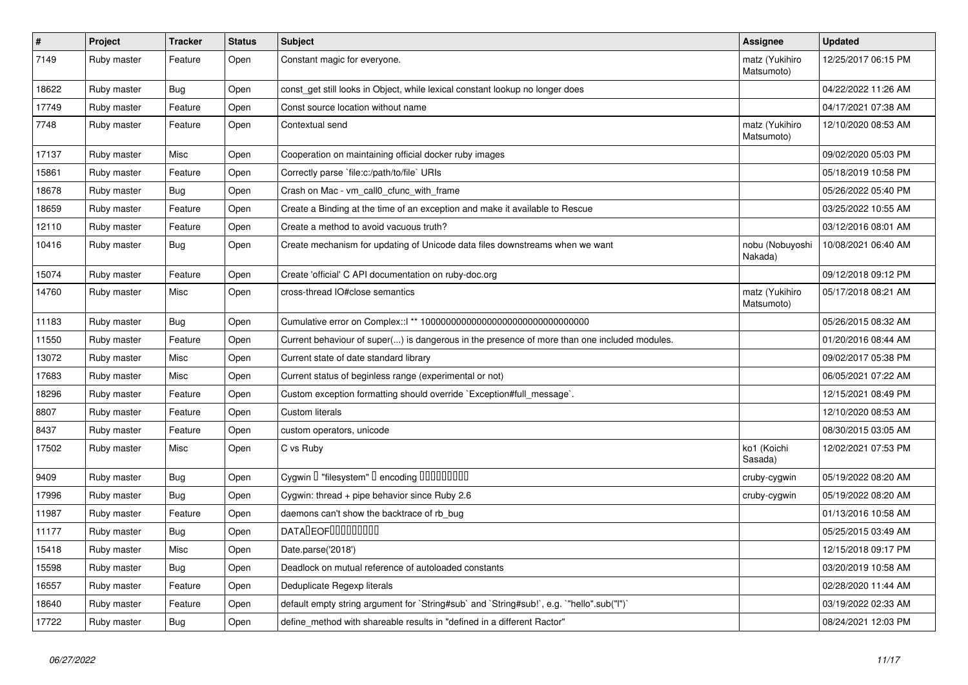| $\pmb{\#}$ | Project     | <b>Tracker</b> | <b>Status</b> | <b>Subject</b>                                                                               | Assignee                     | <b>Updated</b>      |
|------------|-------------|----------------|---------------|----------------------------------------------------------------------------------------------|------------------------------|---------------------|
| 7149       | Ruby master | Feature        | Open          | Constant magic for everyone.                                                                 | matz (Yukihiro<br>Matsumoto) | 12/25/2017 06:15 PM |
| 18622      | Ruby master | <b>Bug</b>     | Open          | const_get still looks in Object, while lexical constant lookup no longer does                |                              | 04/22/2022 11:26 AM |
| 17749      | Ruby master | Feature        | Open          | Const source location without name                                                           |                              | 04/17/2021 07:38 AM |
| 7748       | Ruby master | Feature        | Open          | Contextual send                                                                              | matz (Yukihiro<br>Matsumoto) | 12/10/2020 08:53 AM |
| 17137      | Ruby master | Misc           | Open          | Cooperation on maintaining official docker ruby images                                       |                              | 09/02/2020 05:03 PM |
| 15861      | Ruby master | Feature        | Open          | Correctly parse 'file:c:/path/to/file' URIs                                                  |                              | 05/18/2019 10:58 PM |
| 18678      | Ruby master | Bug            | Open          | Crash on Mac - vm call0 cfunc with frame                                                     |                              | 05/26/2022 05:40 PM |
| 18659      | Ruby master | Feature        | Open          | Create a Binding at the time of an exception and make it available to Rescue                 |                              | 03/25/2022 10:55 AM |
| 12110      | Ruby master | Feature        | Open          | Create a method to avoid vacuous truth?                                                      |                              | 03/12/2016 08:01 AM |
| 10416      | Ruby master | <b>Bug</b>     | Open          | Create mechanism for updating of Unicode data files downstreams when we want                 | nobu (Nobuyoshi<br>Nakada)   | 10/08/2021 06:40 AM |
| 15074      | Ruby master | Feature        | Open          | Create 'official' C API documentation on ruby-doc.org                                        |                              | 09/12/2018 09:12 PM |
| 14760      | Ruby master | Misc           | Open          | cross-thread IO#close semantics                                                              | matz (Yukihiro<br>Matsumoto) | 05/17/2018 08:21 AM |
| 11183      | Ruby master | Bug            | Open          |                                                                                              |                              | 05/26/2015 08:32 AM |
| 11550      | Ruby master | Feature        | Open          | Current behaviour of super() is dangerous in the presence of more than one included modules. |                              | 01/20/2016 08:44 AM |
| 13072      | Ruby master | Misc           | Open          | Current state of date standard library                                                       |                              | 09/02/2017 05:38 PM |
| 17683      | Ruby master | Misc           | Open          | Current status of beginless range (experimental or not)                                      |                              | 06/05/2021 07:22 AM |
| 18296      | Ruby master | Feature        | Open          | Custom exception formatting should override `Exception#full_message`.                        |                              | 12/15/2021 08:49 PM |
| 8807       | Ruby master | Feature        | Open          | <b>Custom literals</b>                                                                       |                              | 12/10/2020 08:53 AM |
| 8437       | Ruby master | Feature        | Open          | custom operators, unicode                                                                    |                              | 08/30/2015 03:05 AM |
| 17502      | Ruby master | Misc           | Open          | C vs Ruby                                                                                    | ko1 (Koichi<br>Sasada)       | 12/02/2021 07:53 PM |
| 9409       | Ruby master | Bug            | Open          | Cygwin I "filesystem" I encoding IIIIIIIIIIIII                                               | cruby-cygwin                 | 05/19/2022 08:20 AM |
| 17996      | Ruby master | Bug            | Open          | Cygwin: thread + pipe behavior since Ruby 2.6                                                | cruby-cygwin                 | 05/19/2022 08:20 AM |
| 11987      | Ruby master | Feature        | Open          | daemons can't show the backtrace of rb_bug                                                   |                              | 01/13/2016 10:58 AM |
| 11177      | Ruby master | <b>Bug</b>     | Open          | <b>DATADEOFOOOOOOOO</b>                                                                      |                              | 05/25/2015 03:49 AM |
| 15418      | Ruby master | Misc           | Open          | Date.parse('2018')                                                                           |                              | 12/15/2018 09:17 PM |
| 15598      | Ruby master | Bug            | Open          | Deadlock on mutual reference of autoloaded constants                                         |                              | 03/20/2019 10:58 AM |
| 16557      | Ruby master | Feature        | Open          | Deduplicate Regexp literals                                                                  |                              | 02/28/2020 11:44 AM |
| 18640      | Ruby master | Feature        | Open          | default empty string argument for `String#sub` and `String#sub!`, e.g. `"hello".sub("I")`    |                              | 03/19/2022 02:33 AM |
| 17722      | Ruby master | Bug            | Open          | define method with shareable results in "defined in a different Ractor"                      |                              | 08/24/2021 12:03 PM |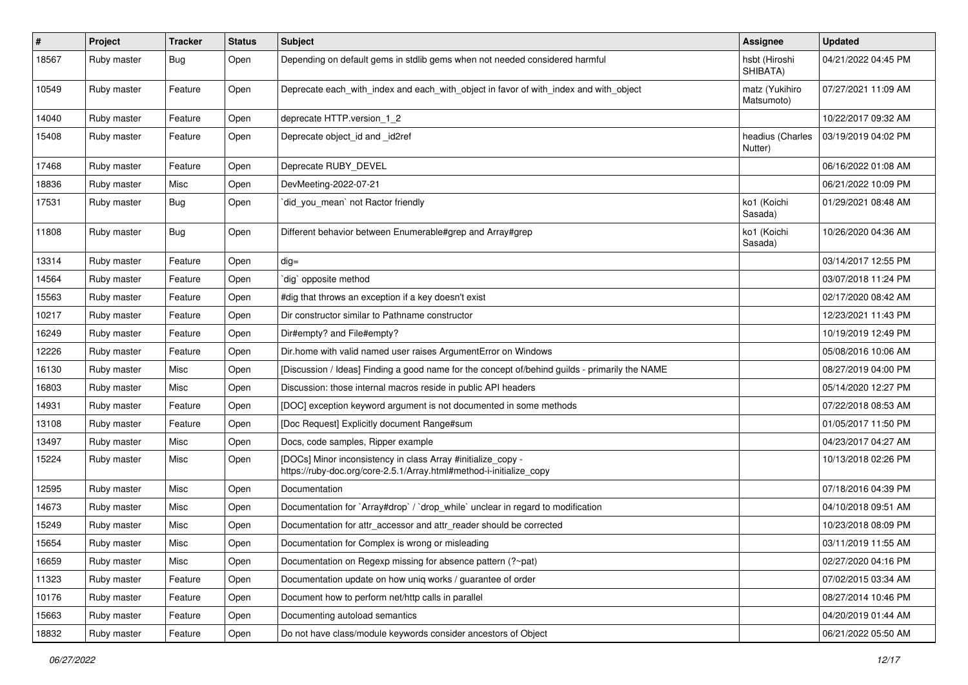| $\vert$ # | Project     | <b>Tracker</b> | <b>Status</b> | Subject                                                                                                                             | Assignee                     | <b>Updated</b>      |
|-----------|-------------|----------------|---------------|-------------------------------------------------------------------------------------------------------------------------------------|------------------------------|---------------------|
| 18567     | Ruby master | <b>Bug</b>     | Open          | Depending on default gems in stdlib gems when not needed considered harmful                                                         | hsbt (Hiroshi<br>SHIBATA)    | 04/21/2022 04:45 PM |
| 10549     | Ruby master | Feature        | Open          | Deprecate each_with_index and each_with_object in favor of with_index and with_object                                               | matz (Yukihiro<br>Matsumoto) | 07/27/2021 11:09 AM |
| 14040     | Ruby master | Feature        | Open          | deprecate HTTP.version_1_2                                                                                                          |                              | 10/22/2017 09:32 AM |
| 15408     | Ruby master | Feature        | Open          | Deprecate object_id and _id2ref                                                                                                     | headius (Charles<br>Nutter)  | 03/19/2019 04:02 PM |
| 17468     | Ruby master | Feature        | Open          | Deprecate RUBY_DEVEL                                                                                                                |                              | 06/16/2022 01:08 AM |
| 18836     | Ruby master | Misc           | Open          | DevMeeting-2022-07-21                                                                                                               |                              | 06/21/2022 10:09 PM |
| 17531     | Ruby master | Bug            | Open          | `did_you_mean` not Ractor friendly                                                                                                  | ko1 (Koichi<br>Sasada)       | 01/29/2021 08:48 AM |
| 11808     | Ruby master | <b>Bug</b>     | Open          | Different behavior between Enumerable#grep and Array#grep                                                                           | ko1 (Koichi<br>Sasada)       | 10/26/2020 04:36 AM |
| 13314     | Ruby master | Feature        | Open          | $dig =$                                                                                                                             |                              | 03/14/2017 12:55 PM |
| 14564     | Ruby master | Feature        | Open          | dig` opposite method                                                                                                                |                              | 03/07/2018 11:24 PM |
| 15563     | Ruby master | Feature        | Open          | #dig that throws an exception if a key doesn't exist                                                                                |                              | 02/17/2020 08:42 AM |
| 10217     | Ruby master | Feature        | Open          | Dir constructor similar to Pathname constructor                                                                                     |                              | 12/23/2021 11:43 PM |
| 16249     | Ruby master | Feature        | Open          | Dir#empty? and File#empty?                                                                                                          |                              | 10/19/2019 12:49 PM |
| 12226     | Ruby master | Feature        | Open          | Dir.home with valid named user raises ArgumentError on Windows                                                                      |                              | 05/08/2016 10:06 AM |
| 16130     | Ruby master | Misc           | Open          | [Discussion / Ideas] Finding a good name for the concept of/behind guilds - primarily the NAME                                      |                              | 08/27/2019 04:00 PM |
| 16803     | Ruby master | Misc           | Open          | Discussion: those internal macros reside in public API headers                                                                      |                              | 05/14/2020 12:27 PM |
| 14931     | Ruby master | Feature        | Open          | [DOC] exception keyword argument is not documented in some methods                                                                  |                              | 07/22/2018 08:53 AM |
| 13108     | Ruby master | Feature        | Open          | [Doc Request] Explicitly document Range#sum                                                                                         |                              | 01/05/2017 11:50 PM |
| 13497     | Ruby master | Misc           | Open          | Docs, code samples, Ripper example                                                                                                  |                              | 04/23/2017 04:27 AM |
| 15224     | Ruby master | Misc           | Open          | [DOCs] Minor inconsistency in class Array #initialize_copy -<br>https://ruby-doc.org/core-2.5.1/Array.html#method-i-initialize_copy |                              | 10/13/2018 02:26 PM |
| 12595     | Ruby master | Misc           | Open          | Documentation                                                                                                                       |                              | 07/18/2016 04:39 PM |
| 14673     | Ruby master | Misc           | Open          | Documentation for `Array#drop` / `drop_while` unclear in regard to modification                                                     |                              | 04/10/2018 09:51 AM |
| 15249     | Ruby master | Misc           | Open          | Documentation for attr_accessor and attr_reader should be corrected                                                                 |                              | 10/23/2018 08:09 PM |
| 15654     | Ruby master | Misc           | Open          | Documentation for Complex is wrong or misleading                                                                                    |                              | 03/11/2019 11:55 AM |
| 16659     | Ruby master | Misc           | Open          | Documentation on Regexp missing for absence pattern (?~pat)                                                                         |                              | 02/27/2020 04:16 PM |
| 11323     | Ruby master | Feature        | Open          | Documentation update on how uniq works / guarantee of order                                                                         |                              | 07/02/2015 03:34 AM |
| 10176     | Ruby master | Feature        | Open          | Document how to perform net/http calls in parallel                                                                                  |                              | 08/27/2014 10:46 PM |
| 15663     | Ruby master | Feature        | Open          | Documenting autoload semantics                                                                                                      |                              | 04/20/2019 01:44 AM |
| 18832     | Ruby master | Feature        | Open          | Do not have class/module keywords consider ancestors of Object                                                                      |                              | 06/21/2022 05:50 AM |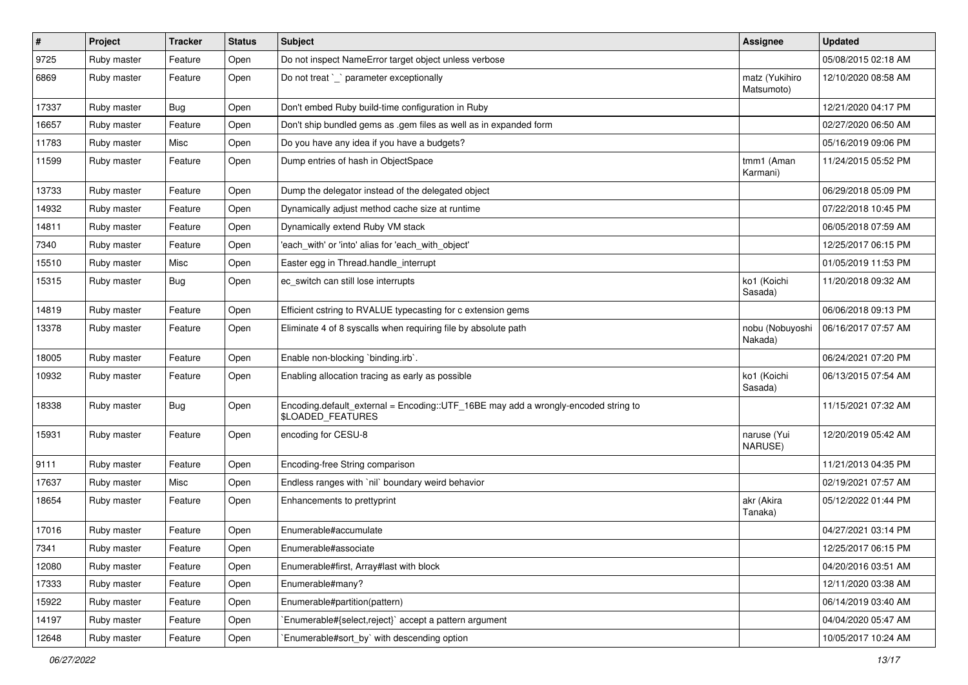| $\vert$ # | Project     | <b>Tracker</b> | <b>Status</b> | Subject                                                                                                 | <b>Assignee</b>              | <b>Updated</b>      |
|-----------|-------------|----------------|---------------|---------------------------------------------------------------------------------------------------------|------------------------------|---------------------|
| 9725      | Ruby master | Feature        | Open          | Do not inspect NameError target object unless verbose                                                   |                              | 05/08/2015 02:18 AM |
| 6869      | Ruby master | Feature        | Open          | Do not treat `_` parameter exceptionally                                                                | matz (Yukihiro<br>Matsumoto) | 12/10/2020 08:58 AM |
| 17337     | Ruby master | <b>Bug</b>     | Open          | Don't embed Ruby build-time configuration in Ruby                                                       |                              | 12/21/2020 04:17 PM |
| 16657     | Ruby master | Feature        | Open          | Don't ship bundled gems as .gem files as well as in expanded form                                       |                              | 02/27/2020 06:50 AM |
| 11783     | Ruby master | Misc           | Open          | Do you have any idea if you have a budgets?                                                             |                              | 05/16/2019 09:06 PM |
| 11599     | Ruby master | Feature        | Open          | Dump entries of hash in ObjectSpace                                                                     | tmm1 (Aman<br>Karmani)       | 11/24/2015 05:52 PM |
| 13733     | Ruby master | Feature        | Open          | Dump the delegator instead of the delegated object                                                      |                              | 06/29/2018 05:09 PM |
| 14932     | Ruby master | Feature        | Open          | Dynamically adjust method cache size at runtime                                                         |                              | 07/22/2018 10:45 PM |
| 14811     | Ruby master | Feature        | Open          | Dynamically extend Ruby VM stack                                                                        |                              | 06/05/2018 07:59 AM |
| 7340      | Ruby master | Feature        | Open          | 'each_with' or 'into' alias for 'each_with_object'                                                      |                              | 12/25/2017 06:15 PM |
| 15510     | Ruby master | Misc           | Open          | Easter egg in Thread.handle_interrupt                                                                   |                              | 01/05/2019 11:53 PM |
| 15315     | Ruby master | Bug            | Open          | ec_switch can still lose interrupts                                                                     | ko1 (Koichi<br>Sasada)       | 11/20/2018 09:32 AM |
| 14819     | Ruby master | Feature        | Open          | Efficient cstring to RVALUE typecasting for c extension gems                                            |                              | 06/06/2018 09:13 PM |
| 13378     | Ruby master | Feature        | Open          | Eliminate 4 of 8 syscalls when requiring file by absolute path                                          | nobu (Nobuyoshi<br>Nakada)   | 06/16/2017 07:57 AM |
| 18005     | Ruby master | Feature        | Open          | Enable non-blocking `binding.irb`.                                                                      |                              | 06/24/2021 07:20 PM |
| 10932     | Ruby master | Feature        | Open          | Enabling allocation tracing as early as possible                                                        | ko1 (Koichi<br>Sasada)       | 06/13/2015 07:54 AM |
| 18338     | Ruby master | <b>Bug</b>     | Open          | Encoding.default_external = Encoding::UTF_16BE may add a wrongly-encoded string to<br>\$LOADED_FEATURES |                              | 11/15/2021 07:32 AM |
| 15931     | Ruby master | Feature        | Open          | encoding for CESU-8                                                                                     | naruse (Yui<br>NARUSE)       | 12/20/2019 05:42 AM |
| 9111      | Ruby master | Feature        | Open          | Encoding-free String comparison                                                                         |                              | 11/21/2013 04:35 PM |
| 17637     | Ruby master | Misc           | Open          | Endless ranges with 'nil' boundary weird behavior                                                       |                              | 02/19/2021 07:57 AM |
| 18654     | Ruby master | Feature        | Open          | Enhancements to prettyprint                                                                             | akr (Akira<br>Tanaka)        | 05/12/2022 01:44 PM |
| 17016     | Ruby master | Feature        | Open          | Enumerable#accumulate                                                                                   |                              | 04/27/2021 03:14 PM |
| 7341      | Ruby master | Feature        | Open          | Enumerable#associate                                                                                    |                              | 12/25/2017 06:15 PM |
| 12080     | Ruby master | Feature        | Open          | Enumerable#first, Array#last with block                                                                 |                              | 04/20/2016 03:51 AM |
| 17333     | Ruby master | Feature        | Open          | Enumerable#many?                                                                                        |                              | 12/11/2020 03:38 AM |
| 15922     | Ruby master | Feature        | Open          | Enumerable#partition(pattern)                                                                           |                              | 06/14/2019 03:40 AM |
| 14197     | Ruby master | Feature        | Open          | Enumerable#{select.reject}` accept a pattern argument                                                   |                              | 04/04/2020 05:47 AM |
| 12648     | Ruby master | Feature        | Open          | Enumerable#sort_by` with descending option                                                              |                              | 10/05/2017 10:24 AM |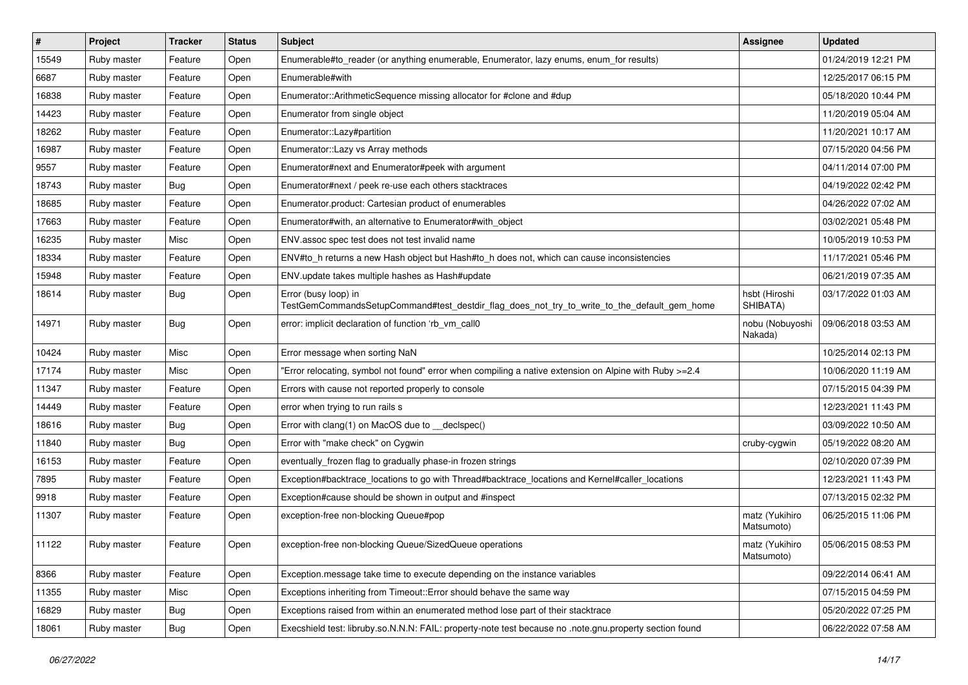| $\vert$ # | Project     | <b>Tracker</b> | <b>Status</b> | <b>Subject</b>                                                                                                      | <b>Assignee</b>              | <b>Updated</b>      |
|-----------|-------------|----------------|---------------|---------------------------------------------------------------------------------------------------------------------|------------------------------|---------------------|
| 15549     | Ruby master | Feature        | Open          | Enumerable#to_reader (or anything enumerable, Enumerator, lazy enums, enum_for results)                             |                              | 01/24/2019 12:21 PM |
| 6687      | Ruby master | Feature        | Open          | Enumerable#with                                                                                                     |                              | 12/25/2017 06:15 PM |
| 16838     | Ruby master | Feature        | Open          | Enumerator::ArithmeticSequence missing allocator for #clone and #dup                                                |                              | 05/18/2020 10:44 PM |
| 14423     | Ruby master | Feature        | Open          | Enumerator from single object                                                                                       |                              | 11/20/2019 05:04 AM |
| 18262     | Ruby master | Feature        | Open          | Enumerator::Lazy#partition                                                                                          |                              | 11/20/2021 10:17 AM |
| 16987     | Ruby master | Feature        | Open          | Enumerator::Lazy vs Array methods                                                                                   |                              | 07/15/2020 04:56 PM |
| 9557      | Ruby master | Feature        | Open          | Enumerator#next and Enumerator#peek with argument                                                                   |                              | 04/11/2014 07:00 PM |
| 18743     | Ruby master | <b>Bug</b>     | Open          | Enumerator#next / peek re-use each others stacktraces                                                               |                              | 04/19/2022 02:42 PM |
| 18685     | Ruby master | Feature        | Open          | Enumerator.product: Cartesian product of enumerables                                                                |                              | 04/26/2022 07:02 AM |
| 17663     | Ruby master | Feature        | Open          | Enumerator#with, an alternative to Enumerator#with_object                                                           |                              | 03/02/2021 05:48 PM |
| 16235     | Ruby master | Misc           | Open          | ENV assoc spec test does not test invalid name                                                                      |                              | 10/05/2019 10:53 PM |
| 18334     | Ruby master | Feature        | Open          | ENV#to_h returns a new Hash object but Hash#to_h does not, which can cause inconsistencies                          |                              | 11/17/2021 05:46 PM |
| 15948     | Ruby master | Feature        | Open          | ENV.update takes multiple hashes as Hash#update                                                                     |                              | 06/21/2019 07:35 AM |
| 18614     | Ruby master | <b>Bug</b>     | Open          | Error (busy loop) in<br>TestGemCommandsSetupCommand#test_destdir_flag_does_not_try_to_write_to_the_default_gem_home | hsbt (Hiroshi<br>SHIBATA)    | 03/17/2022 01:03 AM |
| 14971     | Ruby master | Bug            | Open          | error: implicit declaration of function 'rb_vm_call0                                                                | nobu (Nobuyoshi<br>Nakada)   | 09/06/2018 03:53 AM |
| 10424     | Ruby master | Misc           | Open          | Error message when sorting NaN                                                                                      |                              | 10/25/2014 02:13 PM |
| 17174     | Ruby master | Misc           | Open          | "Error relocating, symbol not found" error when compiling a native extension on Alpine with Ruby >=2.4              |                              | 10/06/2020 11:19 AM |
| 11347     | Ruby master | Feature        | Open          | Errors with cause not reported properly to console                                                                  |                              | 07/15/2015 04:39 PM |
| 14449     | Ruby master | Feature        | Open          | error when trying to run rails s                                                                                    |                              | 12/23/2021 11:43 PM |
| 18616     | Ruby master | <b>Bug</b>     | Open          | Error with clang(1) on MacOS due to __declspec()                                                                    |                              | 03/09/2022 10:50 AM |
| 11840     | Ruby master | <b>Bug</b>     | Open          | Error with "make check" on Cygwin                                                                                   | cruby-cygwin                 | 05/19/2022 08:20 AM |
| 16153     | Ruby master | Feature        | Open          | eventually_frozen flag to gradually phase-in frozen strings                                                         |                              | 02/10/2020 07:39 PM |
| 7895      | Ruby master | Feature        | Open          | Exception#backtrace_locations to go with Thread#backtrace_locations and Kernel#caller_locations                     |                              | 12/23/2021 11:43 PM |
| 9918      | Ruby master | Feature        | Open          | Exception#cause should be shown in output and #inspect                                                              |                              | 07/13/2015 02:32 PM |
| 11307     | Ruby master | Feature        | Open          | exception-free non-blocking Queue#pop                                                                               | matz (Yukihiro<br>Matsumoto) | 06/25/2015 11:06 PM |
| 11122     | Ruby master | Feature        | Open          | exception-free non-blocking Queue/SizedQueue operations                                                             | matz (Yukihiro<br>Matsumoto) | 05/06/2015 08:53 PM |
| 8366      | Ruby master | Feature        | Open          | Exception.message take time to execute depending on the instance variables                                          |                              | 09/22/2014 06:41 AM |
| 11355     | Ruby master | Misc           | Open          | Exceptions inheriting from Timeout:: Error should behave the same way                                               |                              | 07/15/2015 04:59 PM |
| 16829     | Ruby master | <b>Bug</b>     | Open          | Exceptions raised from within an enumerated method lose part of their stacktrace                                    |                              | 05/20/2022 07:25 PM |
| 18061     | Ruby master | <b>Bug</b>     | Open          | Execshield test: libruby.so.N.N.N: FAIL: property-note test because no .note.gnu.property section found             |                              | 06/22/2022 07:58 AM |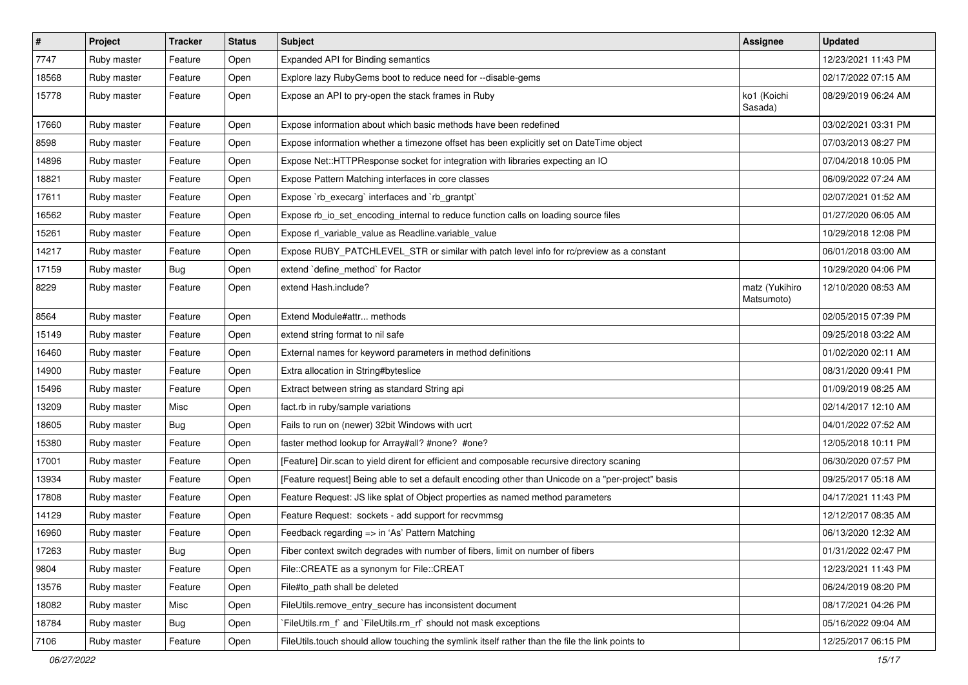| $\vert$ # | Project     | <b>Tracker</b> | <b>Status</b> | <b>Subject</b>                                                                                     | Assignee                     | <b>Updated</b>      |
|-----------|-------------|----------------|---------------|----------------------------------------------------------------------------------------------------|------------------------------|---------------------|
| 7747      | Ruby master | Feature        | Open          | Expanded API for Binding semantics                                                                 |                              | 12/23/2021 11:43 PM |
| 18568     | Ruby master | Feature        | Open          | Explore lazy RubyGems boot to reduce need for --disable-gems                                       |                              | 02/17/2022 07:15 AM |
| 15778     | Ruby master | Feature        | Open          | Expose an API to pry-open the stack frames in Ruby                                                 | ko1 (Koichi<br>Sasada)       | 08/29/2019 06:24 AM |
| 17660     | Ruby master | Feature        | Open          | Expose information about which basic methods have been redefined                                   |                              | 03/02/2021 03:31 PM |
| 8598      | Ruby master | Feature        | Open          | Expose information whether a timezone offset has been explicitly set on DateTime object            |                              | 07/03/2013 08:27 PM |
| 14896     | Ruby master | Feature        | Open          | Expose Net:: HTTPResponse socket for integration with libraries expecting an IO                    |                              | 07/04/2018 10:05 PM |
| 18821     | Ruby master | Feature        | Open          | Expose Pattern Matching interfaces in core classes                                                 |                              | 06/09/2022 07:24 AM |
| 17611     | Ruby master | Feature        | Open          | Expose `rb_execarg` interfaces and `rb_grantpt`                                                    |                              | 02/07/2021 01:52 AM |
| 16562     | Ruby master | Feature        | Open          | Expose rb_io_set_encoding_internal to reduce function calls on loading source files                |                              | 01/27/2020 06:05 AM |
| 15261     | Ruby master | Feature        | Open          | Expose rl_variable_value as Readline.variable_value                                                |                              | 10/29/2018 12:08 PM |
| 14217     | Ruby master | Feature        | Open          | Expose RUBY_PATCHLEVEL_STR or similar with patch level info for rc/preview as a constant           |                              | 06/01/2018 03:00 AM |
| 17159     | Ruby master | <b>Bug</b>     | Open          | extend `define_method` for Ractor                                                                  |                              | 10/29/2020 04:06 PM |
| 8229      | Ruby master | Feature        | Open          | extend Hash.include?                                                                               | matz (Yukihiro<br>Matsumoto) | 12/10/2020 08:53 AM |
| 8564      | Ruby master | Feature        | Open          | Extend Module#attr methods                                                                         |                              | 02/05/2015 07:39 PM |
| 15149     | Ruby master | Feature        | Open          | extend string format to nil safe                                                                   |                              | 09/25/2018 03:22 AM |
| 16460     | Ruby master | Feature        | Open          | External names for keyword parameters in method definitions                                        |                              | 01/02/2020 02:11 AM |
| 14900     | Ruby master | Feature        | Open          | Extra allocation in String#byteslice                                                               |                              | 08/31/2020 09:41 PM |
| 15496     | Ruby master | Feature        | Open          | Extract between string as standard String api                                                      |                              | 01/09/2019 08:25 AM |
| 13209     | Ruby master | Misc           | Open          | fact.rb in ruby/sample variations                                                                  |                              | 02/14/2017 12:10 AM |
| 18605     | Ruby master | Bug            | Open          | Fails to run on (newer) 32bit Windows with ucrt                                                    |                              | 04/01/2022 07:52 AM |
| 15380     | Ruby master | Feature        | Open          | faster method lookup for Array#all? #none? #one?                                                   |                              | 12/05/2018 10:11 PM |
| 17001     | Ruby master | Feature        | Open          | [Feature] Dir.scan to yield dirent for efficient and composable recursive directory scaning        |                              | 06/30/2020 07:57 PM |
| 13934     | Ruby master | Feature        | Open          | [Feature request] Being able to set a default encoding other than Unicode on a "per-project" basis |                              | 09/25/2017 05:18 AM |
| 17808     | Ruby master | Feature        | Open          | Feature Request: JS like splat of Object properties as named method parameters                     |                              | 04/17/2021 11:43 PM |
| 14129     | Ruby master | Feature        | Open          | Feature Request: sockets - add support for recvmmsg                                                |                              | 12/12/2017 08:35 AM |
| 16960     | Ruby master | Feature        | Open          | Feedback regarding => in 'As' Pattern Matching                                                     |                              | 06/13/2020 12:32 AM |
| 17263     | Ruby master | Bug            | Open          | Fiber context switch degrades with number of fibers, limit on number of fibers                     |                              | 01/31/2022 02:47 PM |
| 9804      | Ruby master | Feature        | Open          | File::CREATE as a synonym for File::CREAT                                                          |                              | 12/23/2021 11:43 PM |
| 13576     | Ruby master | Feature        | Open          | File#to path shall be deleted                                                                      |                              | 06/24/2019 08:20 PM |
| 18082     | Ruby master | Misc           | Open          | FileUtils.remove_entry_secure has inconsistent document                                            |                              | 08/17/2021 04:26 PM |
| 18784     | Ruby master | <b>Bug</b>     | Open          | `FileUtils.rm_f` and `FileUtils.rm_rf` should not mask exceptions                                  |                              | 05/16/2022 09:04 AM |
| 7106      | Ruby master | Feature        | Open          | FileUtils.touch should allow touching the symlink itself rather than the file the link points to   |                              | 12/25/2017 06:15 PM |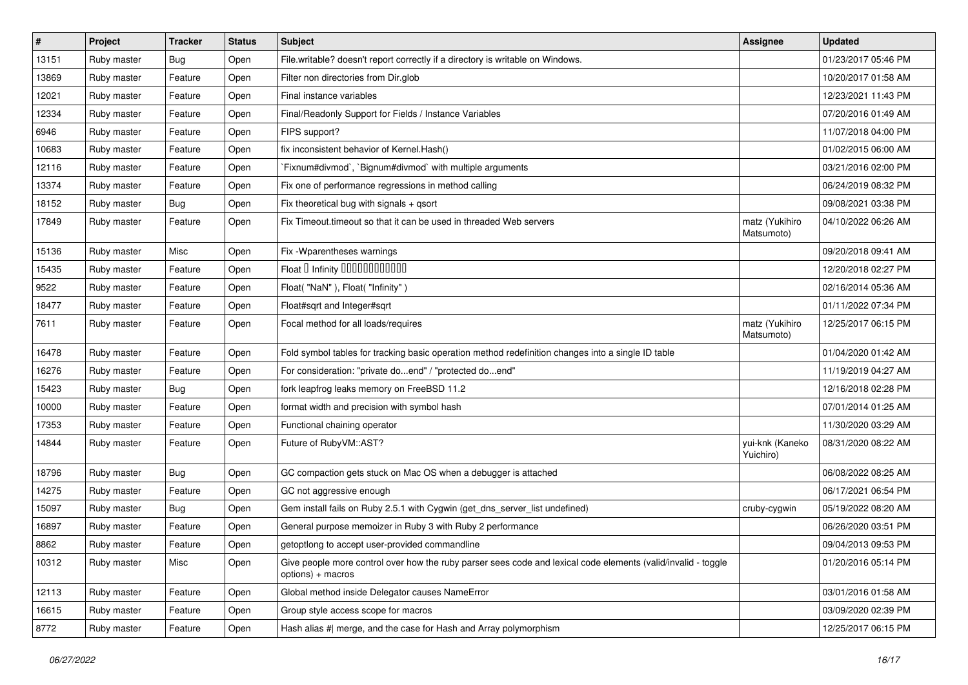| #     | Project     | <b>Tracker</b> | <b>Status</b> | Subject                                                                                                                            | <b>Assignee</b>              | <b>Updated</b>      |
|-------|-------------|----------------|---------------|------------------------------------------------------------------------------------------------------------------------------------|------------------------------|---------------------|
| 13151 | Ruby master | <b>Bug</b>     | Open          | File.writable? doesn't report correctly if a directory is writable on Windows.                                                     |                              | 01/23/2017 05:46 PM |
| 13869 | Ruby master | Feature        | Open          | Filter non directories from Dir.glob                                                                                               |                              | 10/20/2017 01:58 AM |
| 12021 | Ruby master | Feature        | Open          | Final instance variables                                                                                                           |                              | 12/23/2021 11:43 PM |
| 12334 | Ruby master | Feature        | Open          | Final/Readonly Support for Fields / Instance Variables                                                                             |                              | 07/20/2016 01:49 AM |
| 6946  | Ruby master | Feature        | Open          | FIPS support?                                                                                                                      |                              | 11/07/2018 04:00 PM |
| 10683 | Ruby master | Feature        | Open          | fix inconsistent behavior of Kernel. Hash()                                                                                        |                              | 01/02/2015 06:00 AM |
| 12116 | Ruby master | Feature        | Open          | Fixnum#divmod`, `Bignum#divmod` with multiple arguments                                                                            |                              | 03/21/2016 02:00 PM |
| 13374 | Ruby master | Feature        | Open          | Fix one of performance regressions in method calling                                                                               |                              | 06/24/2019 08:32 PM |
| 18152 | Ruby master | <b>Bug</b>     | Open          | Fix theoretical bug with signals + qsort                                                                                           |                              | 09/08/2021 03:38 PM |
| 17849 | Ruby master | Feature        | Open          | Fix Timeout timeout so that it can be used in threaded Web servers                                                                 | matz (Yukihiro<br>Matsumoto) | 04/10/2022 06:26 AM |
| 15136 | Ruby master | Misc           | Open          | Fix -Wparentheses warnings                                                                                                         |                              | 09/20/2018 09:41 AM |
| 15435 | Ruby master | Feature        | Open          | Float I Infinity 00000000000                                                                                                       |                              | 12/20/2018 02:27 PM |
| 9522  | Ruby master | Feature        | Open          | Float("NaN"), Float("Infinity")                                                                                                    |                              | 02/16/2014 05:36 AM |
| 18477 | Ruby master | Feature        | Open          | Float#sqrt and Integer#sqrt                                                                                                        |                              | 01/11/2022 07:34 PM |
| 7611  | Ruby master | Feature        | Open          | Focal method for all loads/requires                                                                                                | matz (Yukihiro<br>Matsumoto) | 12/25/2017 06:15 PM |
| 16478 | Ruby master | Feature        | Open          | Fold symbol tables for tracking basic operation method redefinition changes into a single ID table                                 |                              | 01/04/2020 01:42 AM |
| 16276 | Ruby master | Feature        | Open          | For consideration: "private doend" / "protected doend"                                                                             |                              | 11/19/2019 04:27 AM |
| 15423 | Ruby master | <b>Bug</b>     | Open          | fork leapfrog leaks memory on FreeBSD 11.2                                                                                         |                              | 12/16/2018 02:28 PM |
| 10000 | Ruby master | Feature        | Open          | format width and precision with symbol hash                                                                                        |                              | 07/01/2014 01:25 AM |
| 17353 | Ruby master | Feature        | Open          | Functional chaining operator                                                                                                       |                              | 11/30/2020 03:29 AM |
| 14844 | Ruby master | Feature        | Open          | Future of RubyVM::AST?                                                                                                             | yui-knk (Kaneko<br>Yuichiro) | 08/31/2020 08:22 AM |
| 18796 | Ruby master | <b>Bug</b>     | Open          | GC compaction gets stuck on Mac OS when a debugger is attached                                                                     |                              | 06/08/2022 08:25 AM |
| 14275 | Ruby master | Feature        | Open          | GC not aggressive enough                                                                                                           |                              | 06/17/2021 06:54 PM |
| 15097 | Ruby master | Bug            | Open          | Gem install fails on Ruby 2.5.1 with Cygwin (get_dns_server_list undefined)                                                        | cruby-cygwin                 | 05/19/2022 08:20 AM |
| 16897 | Ruby master | Feature        | Open          | General purpose memoizer in Ruby 3 with Ruby 2 performance                                                                         |                              | 06/26/2020 03:51 PM |
| 8862  | Ruby master | Feature        | Open          | getoptlong to accept user-provided commandline                                                                                     |                              | 09/04/2013 09:53 PM |
| 10312 | Ruby master | Misc           | Open          | Give people more control over how the ruby parser sees code and lexical code elements (valid/invalid - toggle<br>options) + macros |                              | 01/20/2016 05:14 PM |
| 12113 | Ruby master | Feature        | Open          | Global method inside Delegator causes NameError                                                                                    |                              | 03/01/2016 01:58 AM |
| 16615 | Ruby master | Feature        | Open          | Group style access scope for macros                                                                                                |                              | 03/09/2020 02:39 PM |
| 8772  | Ruby master | Feature        | Open          | Hash alias #  merge, and the case for Hash and Array polymorphism                                                                  |                              | 12/25/2017 06:15 PM |